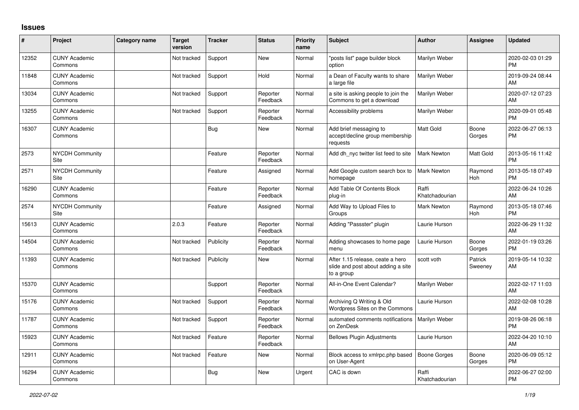## **Issues**

| ∦     | Project                         | Category name | <b>Target</b><br>version | <b>Tracker</b> | <b>Status</b>        | Priority<br>name | <b>Subject</b>                                                                       | <b>Author</b>           | Assignee           | <b>Updated</b>                |
|-------|---------------------------------|---------------|--------------------------|----------------|----------------------|------------------|--------------------------------------------------------------------------------------|-------------------------|--------------------|-------------------------------|
| 12352 | <b>CUNY Academic</b><br>Commons |               | Not tracked              | Support        | <b>New</b>           | Normal           | "posts list" page builder block<br>option                                            | Marilyn Weber           |                    | 2020-02-03 01:29<br><b>PM</b> |
| 11848 | <b>CUNY Academic</b><br>Commons |               | Not tracked              | Support        | Hold                 | Normal           | a Dean of Faculty wants to share<br>a large file                                     | Marilyn Weber           |                    | 2019-09-24 08:44<br>AM        |
| 13034 | <b>CUNY Academic</b><br>Commons |               | Not tracked              | Support        | Reporter<br>Feedback | Normal           | a site is asking people to join the<br>Commons to get a download                     | Marilyn Weber           |                    | 2020-07-12 07:23<br>AM        |
| 13255 | <b>CUNY Academic</b><br>Commons |               | Not tracked              | Support        | Reporter<br>Feedback | Normal           | Accessibility problems                                                               | Marilyn Weber           |                    | 2020-09-01 05:48<br><b>PM</b> |
| 16307 | <b>CUNY Academic</b><br>Commons |               |                          | Bug            | <b>New</b>           | Normal           | Add brief messaging to<br>accept/decline group membership<br>requests                | Matt Gold               | Boone<br>Gorges    | 2022-06-27 06:13<br><b>PM</b> |
| 2573  | <b>NYCDH Community</b><br>Site  |               |                          | Feature        | Reporter<br>Feedback | Normal           | Add dh nyc twitter list feed to site                                                 | <b>Mark Newton</b>      | Matt Gold          | 2013-05-16 11:42<br><b>PM</b> |
| 2571  | NYCDH Community<br>Site         |               |                          | Feature        | Assigned             | Normal           | Add Google custom search box to<br>homepage                                          | <b>Mark Newton</b>      | Raymond<br>Hoh     | 2013-05-18 07:49<br><b>PM</b> |
| 16290 | <b>CUNY Academic</b><br>Commons |               |                          | Feature        | Reporter<br>Feedback | Normal           | Add Table Of Contents Block<br>plug-in                                               | Raffi<br>Khatchadourian |                    | 2022-06-24 10:26<br>AM        |
| 2574  | <b>NYCDH Community</b><br>Site  |               |                          | Feature        | Assigned             | Normal           | Add Way to Upload Files to<br>Groups                                                 | Mark Newton             | Raymond<br>Hoh     | 2013-05-18 07:46<br><b>PM</b> |
| 15613 | <b>CUNY Academic</b><br>Commons |               | 2.0.3                    | Feature        | Reporter<br>Feedback | Normal           | Adding "Passster" plugin                                                             | Laurie Hurson           |                    | 2022-06-29 11:32<br>AM        |
| 14504 | <b>CUNY Academic</b><br>Commons |               | Not tracked              | Publicity      | Reporter<br>Feedback | Normal           | Adding showcases to home page<br>menu                                                | Laurie Hurson           | Boone<br>Gorges    | 2022-01-19 03:26<br><b>PM</b> |
| 11393 | <b>CUNY Academic</b><br>Commons |               | Not tracked              | Publicity      | <b>New</b>           | Normal           | After 1.15 release, ceate a hero<br>slide and post about adding a site<br>to a group | scott voth              | Patrick<br>Sweeney | 2019-05-14 10:32<br>AM        |
| 15370 | <b>CUNY Academic</b><br>Commons |               |                          | Support        | Reporter<br>Feedback | Normal           | All-in-One Event Calendar?                                                           | Marilyn Weber           |                    | 2022-02-17 11:03<br>AM        |
| 15176 | <b>CUNY Academic</b><br>Commons |               | Not tracked              | Support        | Reporter<br>Feedback | Normal           | Archiving Q Writing & Old<br>Wordpress Sites on the Commons                          | Laurie Hurson           |                    | 2022-02-08 10:28<br>AM        |
| 11787 | <b>CUNY Academic</b><br>Commons |               | Not tracked              | Support        | Reporter<br>Feedback | Normal           | automated comments notifications<br>on ZenDesk                                       | Marilyn Weber           |                    | 2019-08-26 06:18<br><b>PM</b> |
| 15923 | <b>CUNY Academic</b><br>Commons |               | Not tracked              | Feature        | Reporter<br>Feedback | Normal           | <b>Bellows Plugin Adjustments</b>                                                    | Laurie Hurson           |                    | 2022-04-20 10:10<br>AM        |
| 12911 | <b>CUNY Academic</b><br>Commons |               | Not tracked              | Feature        | <b>New</b>           | Normal           | Block access to xmlrpc.php based<br>on User-Agent                                    | Boone Gorges            | Boone<br>Gorges    | 2020-06-09 05:12<br><b>PM</b> |
| 16294 | <b>CUNY Academic</b><br>Commons |               |                          | <b>Bug</b>     | <b>New</b>           | Urgent           | CAC is down                                                                          | Raffi<br>Khatchadourian |                    | 2022-06-27 02:00<br><b>PM</b> |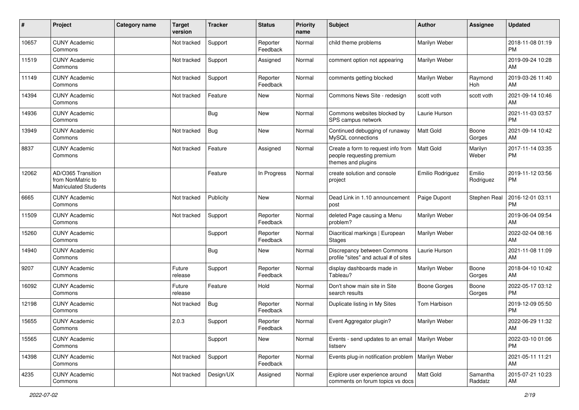| #     | Project                                                                 | <b>Category name</b> | <b>Target</b><br>version | <b>Tracker</b> | <b>Status</b>        | <b>Priority</b><br>name | Subject                                                                               | <b>Author</b>    | Assignee            | <b>Updated</b>                |
|-------|-------------------------------------------------------------------------|----------------------|--------------------------|----------------|----------------------|-------------------------|---------------------------------------------------------------------------------------|------------------|---------------------|-------------------------------|
| 10657 | <b>CUNY Academic</b><br>Commons                                         |                      | Not tracked              | Support        | Reporter<br>Feedback | Normal                  | child theme problems                                                                  | Marilyn Weber    |                     | 2018-11-08 01:19<br><b>PM</b> |
| 11519 | <b>CUNY Academic</b><br>Commons                                         |                      | Not tracked              | Support        | Assigned             | Normal                  | comment option not appearing                                                          | Marilyn Weber    |                     | 2019-09-24 10:28<br>AM        |
| 11149 | <b>CUNY Academic</b><br>Commons                                         |                      | Not tracked              | Support        | Reporter<br>Feedback | Normal                  | comments getting blocked                                                              | Marilyn Weber    | Raymond<br>Hoh      | 2019-03-26 11:40<br>AM        |
| 14394 | <b>CUNY Academic</b><br>Commons                                         |                      | Not tracked              | Feature        | <b>New</b>           | Normal                  | Commons News Site - redesign                                                          | scott voth       | scott voth          | 2021-09-14 10:46<br>AM        |
| 14936 | <b>CUNY Academic</b><br>Commons                                         |                      |                          | Bug            | New                  | Normal                  | Commons websites blocked by<br>SPS campus network                                     | Laurie Hurson    |                     | 2021-11-03 03:57<br><b>PM</b> |
| 13949 | <b>CUNY Academic</b><br>Commons                                         |                      | Not tracked              | Bug            | New                  | Normal                  | Continued debugging of runaway<br>MySQL connections                                   | <b>Matt Gold</b> | Boone<br>Gorges     | 2021-09-14 10:42<br>AM        |
| 8837  | <b>CUNY Academic</b><br>Commons                                         |                      | Not tracked              | Feature        | Assigned             | Normal                  | Create a form to request info from<br>people requesting premium<br>themes and plugins | <b>Matt Gold</b> | Marilyn<br>Weber    | 2017-11-14 03:35<br><b>PM</b> |
| 12062 | AD/O365 Transition<br>from NonMatric to<br><b>Matriculated Students</b> |                      |                          | Feature        | In Progress          | Normal                  | create solution and console<br>project                                                | Emilio Rodriguez | Emilio<br>Rodriguez | 2019-11-12 03:56<br><b>PM</b> |
| 6665  | <b>CUNY Academic</b><br>Commons                                         |                      | Not tracked              | Publicity      | <b>New</b>           | Normal                  | Dead Link in 1.10 announcement<br>post                                                | Paige Dupont     | Stephen Real        | 2016-12-01 03:11<br><b>PM</b> |
| 11509 | <b>CUNY Academic</b><br>Commons                                         |                      | Not tracked              | Support        | Reporter<br>Feedback | Normal                  | deleted Page causing a Menu<br>problem?                                               | Marilyn Weber    |                     | 2019-06-04 09:54<br>AM        |
| 15260 | <b>CUNY Academic</b><br>Commons                                         |                      |                          | Support        | Reporter<br>Feedback | Normal                  | Diacritical markings   European<br><b>Stages</b>                                      | Marilyn Weber    |                     | 2022-02-04 08:16<br>AM        |
| 14940 | <b>CUNY Academic</b><br>Commons                                         |                      |                          | Bug            | New                  | Normal                  | Discrepancy between Commons<br>profile "sites" and actual # of sites                  | Laurie Hurson    |                     | 2021-11-08 11:09<br>AM        |
| 9207  | <b>CUNY Academic</b><br>Commons                                         |                      | Future<br>release        | Support        | Reporter<br>Feedback | Normal                  | display dashboards made in<br>Tableau?                                                | Marilyn Weber    | Boone<br>Gorges     | 2018-04-10 10:42<br>AM        |
| 16092 | <b>CUNY Academic</b><br>Commons                                         |                      | Future<br>release        | Feature        | Hold                 | Normal                  | Don't show main site in Site<br>search results                                        | Boone Gorges     | Boone<br>Gorges     | 2022-05-17 03:12<br><b>PM</b> |
| 12198 | <b>CUNY Academic</b><br>Commons                                         |                      | Not tracked              | Bug            | Reporter<br>Feedback | Normal                  | Duplicate listing in My Sites                                                         | Tom Harbison     |                     | 2019-12-09 05:50<br><b>PM</b> |
| 15655 | <b>CUNY Academic</b><br>Commons                                         |                      | 2.0.3                    | Support        | Reporter<br>Feedback | Normal                  | Event Aggregator plugin?                                                              | Marilyn Weber    |                     | 2022-06-29 11:32<br>AM        |
| 15565 | <b>CUNY Academic</b><br>Commons                                         |                      |                          | Support        | New                  | Normal                  | Events - send updates to an email<br>listserv                                         | Marilyn Weber    |                     | 2022-03-10 01:06<br>PM.       |
| 14398 | <b>CUNY Academic</b><br>Commons                                         |                      | Not tracked              | Support        | Reporter<br>Feedback | Normal                  | Events plug-in notification problem   Marilyn Weber                                   |                  |                     | 2021-05-11 11:21<br>AM        |
| 4235  | <b>CUNY Academic</b><br>Commons                                         |                      | Not tracked              | Design/UX      | Assigned             | Normal                  | Explore user experience around<br>comments on forum topics vs docs                    | Matt Gold        | Samantha<br>Raddatz | 2015-07-21 10:23<br>AM        |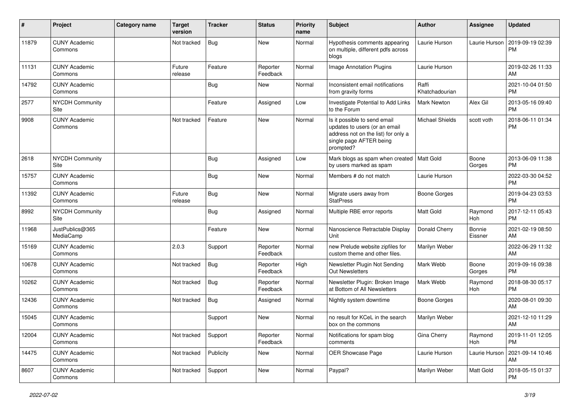| $\pmb{\#}$ | Project                         | Category name | <b>Target</b><br>version | <b>Tracker</b> | <b>Status</b>        | <b>Priority</b><br>name | Subject                                                                                                                                      | <b>Author</b>           | Assignee          | <b>Updated</b>                |
|------------|---------------------------------|---------------|--------------------------|----------------|----------------------|-------------------------|----------------------------------------------------------------------------------------------------------------------------------------------|-------------------------|-------------------|-------------------------------|
| 11879      | <b>CUNY Academic</b><br>Commons |               | Not tracked              | <b>Bug</b>     | <b>New</b>           | Normal                  | Hypothesis comments appearing<br>on multiple, different pdfs across<br>blogs                                                                 | Laurie Hurson           | Laurie Hurson     | 2019-09-19 02:39<br><b>PM</b> |
| 11131      | <b>CUNY Academic</b><br>Commons |               | Future<br>release        | Feature        | Reporter<br>Feedback | Normal                  | Image Annotation Plugins                                                                                                                     | Laurie Hurson           |                   | 2019-02-26 11:33<br>AM        |
| 14792      | <b>CUNY Academic</b><br>Commons |               |                          | Bug            | New                  | Normal                  | Inconsistent email notifications<br>from gravity forms                                                                                       | Raffi<br>Khatchadourian |                   | 2021-10-04 01:50<br><b>PM</b> |
| 2577       | <b>NYCDH Community</b><br>Site  |               |                          | Feature        | Assigned             | Low                     | Investigate Potential to Add Links<br>to the Forum                                                                                           | <b>Mark Newton</b>      | Alex Gil          | 2013-05-16 09:40<br><b>PM</b> |
| 9908       | <b>CUNY Academic</b><br>Commons |               | Not tracked              | Feature        | <b>New</b>           | Normal                  | Is it possible to send email<br>updates to users (or an email<br>address not on the list) for only a<br>single page AFTER being<br>prompted? | <b>Michael Shields</b>  | scott voth        | 2018-06-11 01:34<br><b>PM</b> |
| 2618       | <b>NYCDH Community</b><br>Site  |               |                          | Bug            | Assigned             | Low                     | Mark blogs as spam when created<br>by users marked as spam                                                                                   | Matt Gold               | Boone<br>Gorges   | 2013-06-09 11:38<br><b>PM</b> |
| 15757      | <b>CUNY Academic</b><br>Commons |               |                          | Bug            | New                  | Normal                  | Members # do not match                                                                                                                       | Laurie Hurson           |                   | 2022-03-30 04:52<br><b>PM</b> |
| 11392      | <b>CUNY Academic</b><br>Commons |               | Future<br>release        | Bug            | <b>New</b>           | Normal                  | Migrate users away from<br><b>StatPress</b>                                                                                                  | Boone Gorges            |                   | 2019-04-23 03:53<br>PM        |
| 8992       | <b>NYCDH Community</b><br>Site  |               |                          | Bug            | Assigned             | Normal                  | Multiple RBE error reports                                                                                                                   | <b>Matt Gold</b>        | Raymond<br>Hoh    | 2017-12-11 05:43<br><b>PM</b> |
| 11968      | JustPublics@365<br>MediaCamp    |               |                          | Feature        | <b>New</b>           | Normal                  | Nanoscience Retractable Display<br>Unit                                                                                                      | Donald Cherry           | Bonnie<br>Eissner | 2021-02-19 08:50<br>AM        |
| 15169      | <b>CUNY Academic</b><br>Commons |               | 2.0.3                    | Support        | Reporter<br>Feedback | Normal                  | new Prelude website zipfiles for<br>custom theme and other files.                                                                            | Marilyn Weber           |                   | 2022-06-29 11:32<br>AM        |
| 10678      | <b>CUNY Academic</b><br>Commons |               | Not tracked              | Bug            | Reporter<br>Feedback | High                    | Newsletter Plugin Not Sending<br>Out Newsletters                                                                                             | Mark Webb               | Boone<br>Gorges   | 2019-09-16 09:38<br><b>PM</b> |
| 10262      | <b>CUNY Academic</b><br>Commons |               | Not tracked              | <b>Bug</b>     | Reporter<br>Feedback | Normal                  | Newsletter Plugin: Broken Image<br>at Bottom of All Newsletters                                                                              | Mark Webb               | Raymond<br>Hoh    | 2018-08-30 05:17<br><b>PM</b> |
| 12436      | <b>CUNY Academic</b><br>Commons |               | Not tracked              | Bug            | Assigned             | Normal                  | Nightly system downtime                                                                                                                      | <b>Boone Gorges</b>     |                   | 2020-08-01 09:30<br>AM        |
| 15045      | <b>CUNY Academic</b><br>Commons |               |                          | Support        | <b>New</b>           | Normal                  | no result for KCeL in the search<br>box on the commons                                                                                       | Marilyn Weber           |                   | 2021-12-10 11:29<br>AM        |
| 12004      | <b>CUNY Academic</b><br>Commons |               | Not tracked              | Support        | Reporter<br>Feedback | Normal                  | Notifications for spam blog<br>comments                                                                                                      | Gina Cherry             | Raymond<br>Hoh    | 2019-11-01 12:05<br><b>PM</b> |
| 14475      | <b>CUNY Academic</b><br>Commons |               | Not tracked              | Publicity      | <b>New</b>           | Normal                  | OER Showcase Page                                                                                                                            | Laurie Hurson           | Laurie Hurson     | 2021-09-14 10:46<br>AM        |
| 8607       | <b>CUNY Academic</b><br>Commons |               | Not tracked              | Support        | New                  | Normal                  | Paypal?                                                                                                                                      | Marilyn Weber           | Matt Gold         | 2018-05-15 01:37<br>PM        |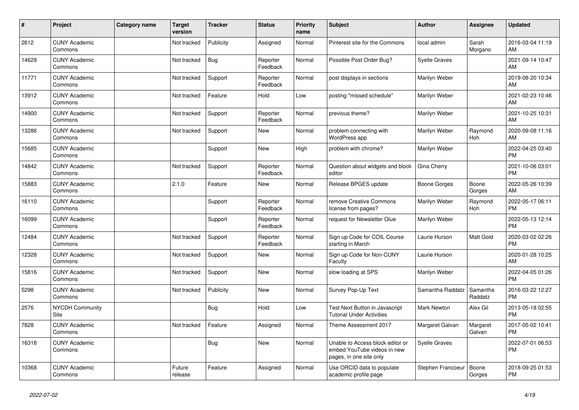| #     | Project                         | Category name | <b>Target</b><br>version | <b>Tracker</b> | <b>Status</b>        | <b>Priority</b><br>name | <b>Subject</b>                                                                             | <b>Author</b>        | <b>Assignee</b>     | <b>Updated</b>                |
|-------|---------------------------------|---------------|--------------------------|----------------|----------------------|-------------------------|--------------------------------------------------------------------------------------------|----------------------|---------------------|-------------------------------|
| 2612  | <b>CUNY Academic</b><br>Commons |               | Not tracked              | Publicity      | Assigned             | Normal                  | Pinterest site for the Commons                                                             | local admin          | Sarah<br>Morgano    | 2016-03-04 11:19<br>AM        |
| 14629 | <b>CUNY Academic</b><br>Commons |               | Not tracked              | Bug            | Reporter<br>Feedback | Normal                  | Possible Post Order Bug?                                                                   | <b>Syelle Graves</b> |                     | 2021-09-14 10:47<br>AM        |
| 11771 | <b>CUNY Academic</b><br>Commons |               | Not tracked              | Support        | Reporter<br>Feedback | Normal                  | post displays in sections                                                                  | Marilyn Weber        |                     | 2019-08-20 10:34<br>AM        |
| 13912 | <b>CUNY Academic</b><br>Commons |               | Not tracked              | Feature        | Hold                 | Low                     | posting "missed schedule"                                                                  | Marilyn Weber        |                     | 2021-02-23 10:46<br>AM        |
| 14900 | <b>CUNY Academic</b><br>Commons |               | Not tracked              | Support        | Reporter<br>Feedback | Normal                  | previous theme?                                                                            | Marilyn Weber        |                     | 2021-10-25 10:31<br>AM        |
| 13286 | <b>CUNY Academic</b><br>Commons |               | Not tracked              | Support        | New                  | Normal                  | problem connecting with<br>WordPress app                                                   | Marilyn Weber        | Raymond<br>Hoh      | 2020-09-08 11:16<br>AM        |
| 15685 | <b>CUNY Academic</b><br>Commons |               |                          | Support        | <b>New</b>           | High                    | problem with chrome?                                                                       | Marilyn Weber        |                     | 2022-04-25 03:40<br><b>PM</b> |
| 14842 | <b>CUNY Academic</b><br>Commons |               | Not tracked              | Support        | Reporter<br>Feedback | Normal                  | Question about widgets and block<br>editor                                                 | Gina Cherry          |                     | 2021-10-06 03:01<br><b>PM</b> |
| 15883 | <b>CUNY Academic</b><br>Commons |               | 2.1.0                    | Feature        | <b>New</b>           | Normal                  | Release BPGES update                                                                       | Boone Gorges         | Boone<br>Gorges     | 2022-05-26 10:39<br>AM        |
| 16110 | <b>CUNY Academic</b><br>Commons |               |                          | Support        | Reporter<br>Feedback | Normal                  | remove Creative Commons<br>license from pages?                                             | Marilyn Weber        | Raymond<br>Hoh      | 2022-05-17 06:11<br><b>PM</b> |
| 16099 | <b>CUNY Academic</b><br>Commons |               |                          | Support        | Reporter<br>Feedback | Normal                  | request for Newsletter Glue                                                                | Marilyn Weber        |                     | 2022-05-13 12:14<br><b>PM</b> |
| 12484 | <b>CUNY Academic</b><br>Commons |               | Not tracked              | Support        | Reporter<br>Feedback | Normal                  | Sign up Code for COIL Course<br>starting in March                                          | Laurie Hurson        | Matt Gold           | 2020-03-02 02:26<br><b>PM</b> |
| 12328 | <b>CUNY Academic</b><br>Commons |               | Not tracked              | Support        | New                  | Normal                  | Sign up Code for Non-CUNY<br>Faculty                                                       | Laurie Hurson        |                     | 2020-01-28 10:25<br>AM        |
| 15816 | <b>CUNY Academic</b><br>Commons |               | Not tracked              | Support        | <b>New</b>           | Normal                  | slow loading at SPS                                                                        | Marilyn Weber        |                     | 2022-04-05 01:26<br><b>PM</b> |
| 5298  | <b>CUNY Academic</b><br>Commons |               | Not tracked              | Publicity      | <b>New</b>           | Normal                  | Survey Pop-Up Text                                                                         | Samantha Raddatz     | Samantha<br>Raddatz | 2016-03-22 12:27<br><b>PM</b> |
| 2576  | <b>NYCDH Community</b><br>Site  |               |                          | Bug            | Hold                 | Low                     | Test Next Button in Javascript<br><b>Tutorial Under Activities</b>                         | Mark Newton          | Alex Gil            | 2013-05-18 02:55<br><b>PM</b> |
| 7828  | <b>CUNY Academic</b><br>Commons |               | Not tracked              | Feature        | Assigned             | Normal                  | Theme Assessment 2017                                                                      | Margaret Galvan      | Margaret<br>Galvan  | 2017-05-02 10:41<br><b>PM</b> |
| 16318 | <b>CUNY Academic</b><br>Commons |               |                          | <b>Bug</b>     | <b>New</b>           | Normal                  | Unable to Access block editor or<br>embed YouTube videos in new<br>pages, in one site only | Syelle Graves        |                     | 2022-07-01 06:53<br><b>PM</b> |
| 10368 | <b>CUNY Academic</b><br>Commons |               | Future<br>release        | Feature        | Assigned             | Normal                  | Use ORCID data to populate<br>academic profile page                                        | Stephen Francoeur    | Boone<br>Gorges     | 2018-09-25 01:53<br><b>PM</b> |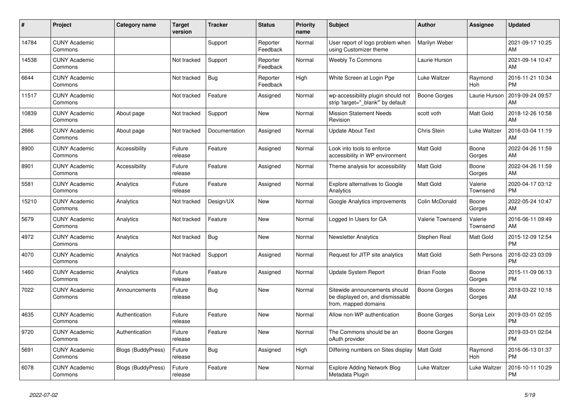| #     | <b>Project</b>                  | <b>Category name</b>      | <b>Target</b><br>version | <b>Tracker</b> | <b>Status</b>        | <b>Priority</b><br>name | <b>Subject</b>                                                                            | <b>Author</b>      | Assignee            | <b>Updated</b>                |
|-------|---------------------------------|---------------------------|--------------------------|----------------|----------------------|-------------------------|-------------------------------------------------------------------------------------------|--------------------|---------------------|-------------------------------|
| 14784 | <b>CUNY Academic</b><br>Commons |                           |                          | Support        | Reporter<br>Feedback | Normal                  | User report of logo problem when<br>using Customizer theme                                | Marilyn Weber      |                     | 2021-09-17 10:25<br>AM        |
| 14538 | <b>CUNY Academic</b><br>Commons |                           | Not tracked              | Support        | Reporter<br>Feedback | Normal                  | <b>Weebly To Commons</b>                                                                  | Laurie Hurson      |                     | 2021-09-14 10:47<br>AM        |
| 6644  | <b>CUNY Academic</b><br>Commons |                           | Not tracked              | Bug            | Reporter<br>Feedback | High                    | White Screen at Login Pge                                                                 | Luke Waltzer       | Raymond<br>Hoh      | 2016-11-21 10:34<br><b>PM</b> |
| 11517 | <b>CUNY Academic</b><br>Commons |                           | Not tracked              | Feature        | Assigned             | Normal                  | wp-accessibility plugin should not<br>strip 'target="_blank"' by default                  | Boone Gorges       | Laurie Hurson       | 2019-09-24 09:57<br>AM        |
| 10839 | <b>CUNY Academic</b><br>Commons | About page                | Not tracked              | Support        | New                  | Normal                  | <b>Mission Statement Needs</b><br>Revision                                                | scott voth         | Matt Gold           | 2018-12-26 10:58<br>AM        |
| 2666  | <b>CUNY Academic</b><br>Commons | About page                | Not tracked              | Documentation  | Assigned             | Normal                  | <b>Update About Text</b>                                                                  | Chris Stein        | Luke Waltzer        | 2016-03-04 11:19<br>AM        |
| 8900  | <b>CUNY Academic</b><br>Commons | Accessibility             | Future<br>release        | Feature        | Assigned             | Normal                  | Look into tools to enforce<br>accessibility in WP environment                             | <b>Matt Gold</b>   | Boone<br>Gorges     | 2022-04-26 11:59<br>AM        |
| 8901  | <b>CUNY Academic</b><br>Commons | Accessibility             | Future<br>release        | Feature        | Assigned             | Normal                  | Theme analysis for accessibility                                                          | <b>Matt Gold</b>   | Boone<br>Gorges     | 2022-04-26 11:59<br>AM        |
| 5581  | <b>CUNY Academic</b><br>Commons | Analytics                 | Future<br>release        | Feature        | Assigned             | Normal                  | <b>Explore alternatives to Google</b><br>Analytics                                        | Matt Gold          | Valerie<br>Townsend | 2020-04-17 03:12<br><b>PM</b> |
| 15210 | <b>CUNY Academic</b><br>Commons | Analytics                 | Not tracked              | Design/UX      | New                  | Normal                  | Google Analytics improvements                                                             | Colin McDonald     | Boone<br>Gorges     | 2022-05-24 10:47<br>AM        |
| 5679  | <b>CUNY Academic</b><br>Commons | Analytics                 | Not tracked              | Feature        | <b>New</b>           | Normal                  | Logged In Users for GA                                                                    | Valerie Townsend   | Valerie<br>Townsend | 2016-06-11 09:49<br>AM        |
| 4972  | <b>CUNY Academic</b><br>Commons | Analytics                 | Not tracked              | Bug            | New                  | Normal                  | <b>Newsletter Analytics</b>                                                               | Stephen Real       | Matt Gold           | 2015-12-09 12:54<br><b>PM</b> |
| 4070  | <b>CUNY Academic</b><br>Commons | Analytics                 | Not tracked              | Support        | Assigned             | Normal                  | Request for JITP site analytics                                                           | Matt Gold          | Seth Persons        | 2016-02-23 03:09<br><b>PM</b> |
| 1460  | <b>CUNY Academic</b><br>Commons | Analytics                 | Future<br>release        | Feature        | Assigned             | Normal                  | Update System Report                                                                      | <b>Brian Foote</b> | Boone<br>Gorges     | 2015-11-09 06:13<br><b>PM</b> |
| 7022  | <b>CUNY Academic</b><br>Commons | Announcements             | Future<br>release        | Bug            | <b>New</b>           | Normal                  | Sitewide announcements should<br>be displayed on, and dismissable<br>from, mapped domains | Boone Gorges       | Boone<br>Gorges     | 2018-03-22 10:18<br>AM        |
| 4635  | <b>CUNY Academic</b><br>Commons | Authentication            | Future<br>release        | Feature        | <b>New</b>           | Normal                  | Allow non-WP authentication                                                               | Boone Gorges       | Sonja Leix          | 2019-03-01 02:05<br><b>PM</b> |
| 9720  | <b>CUNY Academic</b><br>Commons | Authentication            | Future<br>release        | Feature        | <b>New</b>           | Normal                  | The Commons should be an<br>oAuth provider                                                | Boone Gorges       |                     | 2019-03-01 02:04<br><b>PM</b> |
| 5691  | <b>CUNY Academic</b><br>Commons | <b>Blogs (BuddyPress)</b> | Future<br>release        | <b>Bug</b>     | Assigned             | High                    | Differing numbers on Sites display                                                        | Matt Gold          | Raymond<br>Hoh      | 2016-06-13 01:37<br><b>PM</b> |
| 6078  | <b>CUNY Academic</b><br>Commons | <b>Blogs (BuddyPress)</b> | Future<br>release        | Feature        | <b>New</b>           | Normal                  | <b>Explore Adding Network Blog</b><br>Metadata Plugin                                     | Luke Waltzer       | Luke Waltzer        | 2016-10-11 10:29<br><b>PM</b> |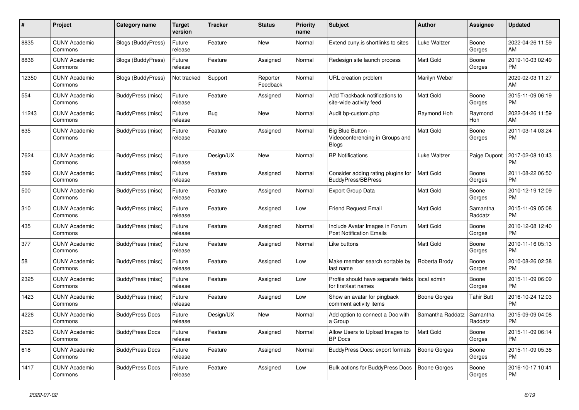| #     | Project                         | <b>Category name</b>      | <b>Target</b><br>version | <b>Tracker</b> | <b>Status</b>        | Priority<br>name | <b>Subject</b>                                                       | <b>Author</b>       | <b>Assignee</b>     | <b>Updated</b>                |
|-------|---------------------------------|---------------------------|--------------------------|----------------|----------------------|------------------|----------------------------------------------------------------------|---------------------|---------------------|-------------------------------|
| 8835  | <b>CUNY Academic</b><br>Commons | <b>Blogs (BuddyPress)</b> | Future<br>release        | Feature        | New                  | Normal           | Extend cuny is shortlinks to sites                                   | Luke Waltzer        | Boone<br>Gorges     | 2022-04-26 11:59<br>AM        |
| 8836  | <b>CUNY Academic</b><br>Commons | <b>Blogs (BuddyPress)</b> | Future<br>release        | Feature        | Assigned             | Normal           | Redesign site launch process                                         | Matt Gold           | Boone<br>Gorges     | 2019-10-03 02:49<br><b>PM</b> |
| 12350 | <b>CUNY Academic</b><br>Commons | Blogs (BuddyPress)        | Not tracked              | Support        | Reporter<br>Feedback | Normal           | URL creation problem                                                 | Marilyn Weber       |                     | 2020-02-03 11:27<br>AM        |
| 554   | <b>CUNY Academic</b><br>Commons | <b>BuddyPress (misc)</b>  | Future<br>release        | Feature        | Assigned             | Normal           | Add Trackback notifications to<br>site-wide activity feed            | Matt Gold           | Boone<br>Gorges     | 2015-11-09 06:19<br><b>PM</b> |
| 11243 | <b>CUNY Academic</b><br>Commons | BuddyPress (misc)         | Future<br>release        | Bug            | New                  | Normal           | Audit bp-custom.php                                                  | Raymond Hoh         | Raymond<br>Hoh      | 2022-04-26 11:59<br>AM        |
| 635   | <b>CUNY Academic</b><br>Commons | BuddyPress (misc)         | Future<br>release        | Feature        | Assigned             | Normal           | Big Blue Button -<br>Videoconferencing in Groups and<br><b>Blogs</b> | <b>Matt Gold</b>    | Boone<br>Gorges     | 2011-03-14 03:24<br><b>PM</b> |
| 7624  | <b>CUNY Academic</b><br>Commons | BuddyPress (misc)         | Future<br>release        | Design/UX      | New                  | Normal           | <b>BP Notifications</b>                                              | Luke Waltzer        | Paige Dupont        | 2017-02-08 10:43<br><b>PM</b> |
| 599   | <b>CUNY Academic</b><br>Commons | BuddyPress (misc)         | Future<br>release        | Feature        | Assigned             | Normal           | Consider adding rating plugins for<br><b>BuddyPress/BBPress</b>      | <b>Matt Gold</b>    | Boone<br>Gorges     | 2011-08-22 06:50<br><b>PM</b> |
| 500   | <b>CUNY Academic</b><br>Commons | <b>BuddyPress (misc)</b>  | Future<br>release        | Feature        | Assigned             | Normal           | <b>Export Group Data</b>                                             | <b>Matt Gold</b>    | Boone<br>Gorges     | 2010-12-19 12:09<br><b>PM</b> |
| 310   | <b>CUNY Academic</b><br>Commons | BuddyPress (misc)         | Future<br>release        | Feature        | Assigned             | Low              | <b>Friend Request Email</b>                                          | <b>Matt Gold</b>    | Samantha<br>Raddatz | 2015-11-09 05:08<br><b>PM</b> |
| 435   | <b>CUNY Academic</b><br>Commons | BuddyPress (misc)         | Future<br>release        | Feature        | Assigned             | Normal           | Include Avatar Images in Forum<br><b>Post Notification Emails</b>    | Matt Gold           | Boone<br>Gorges     | 2010-12-08 12:40<br><b>PM</b> |
| 377   | <b>CUNY Academic</b><br>Commons | BuddyPress (misc)         | Future<br>release        | Feature        | Assigned             | Normal           | Like buttons                                                         | Matt Gold           | Boone<br>Gorges     | 2010-11-16 05:13<br><b>PM</b> |
| 58    | <b>CUNY Academic</b><br>Commons | BuddyPress (misc)         | Future<br>release        | Feature        | Assigned             | Low              | Make member search sortable by<br>last name                          | Roberta Brody       | Boone<br>Gorges     | 2010-08-26 02:38<br><b>PM</b> |
| 2325  | <b>CUNY Academic</b><br>Commons | BuddyPress (misc)         | Future<br>release        | Feature        | Assigned             | Low              | Profile should have separate fields<br>for first/last names          | local admin         | Boone<br>Gorges     | 2015-11-09 06:09<br><b>PM</b> |
| 1423  | <b>CUNY Academic</b><br>Commons | BuddyPress (misc)         | Future<br>release        | Feature        | Assigned             | Low              | Show an avatar for pingback<br>comment activity items                | Boone Gorges        | <b>Tahir Butt</b>   | 2016-10-24 12:03<br><b>PM</b> |
| 4226  | <b>CUNY Academic</b><br>Commons | <b>BuddyPress Docs</b>    | Future<br>release        | Design/UX      | New                  | Normal           | Add option to connect a Doc with<br>a Group                          | Samantha Raddatz    | Samantha<br>Raddatz | 2015-09-09 04:08<br><b>PM</b> |
| 2523  | <b>CUNY Academic</b><br>Commons | <b>BuddyPress Docs</b>    | Future<br>release        | Feature        | Assigned             | Normal           | Allow Users to Upload Images to<br><b>BP</b> Docs                    | <b>Matt Gold</b>    | Boone<br>Gorges     | 2015-11-09 06:14<br><b>PM</b> |
| 618   | <b>CUNY Academic</b><br>Commons | <b>BuddyPress Docs</b>    | Future<br>release        | Feature        | Assigned             | Normal           | <b>BuddyPress Docs: export formats</b>                               | Boone Gorges        | Boone<br>Gorges     | 2015-11-09 05:38<br><b>PM</b> |
| 1417  | <b>CUNY Academic</b><br>Commons | <b>BuddyPress Docs</b>    | Future<br>release        | Feature        | Assigned             | Low              | <b>Bulk actions for BuddyPress Docs</b>                              | <b>Boone Gorges</b> | Boone<br>Gorges     | 2016-10-17 10:41<br><b>PM</b> |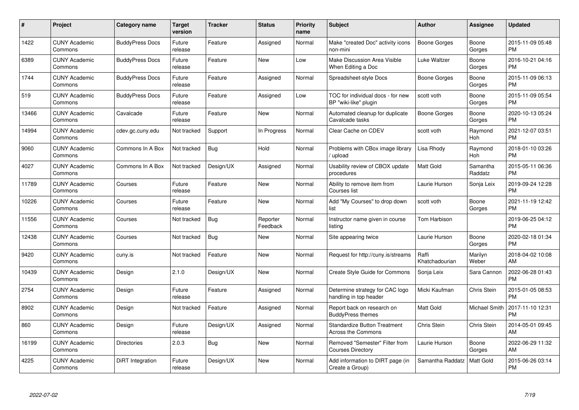| $\#$  | Project                         | <b>Category name</b>   | <b>Target</b><br>version | <b>Tracker</b> | <b>Status</b>        | Priority<br>name | <b>Subject</b>                                                   | <b>Author</b>           | <b>Assignee</b>     | <b>Updated</b>                |
|-------|---------------------------------|------------------------|--------------------------|----------------|----------------------|------------------|------------------------------------------------------------------|-------------------------|---------------------|-------------------------------|
| 1422  | <b>CUNY Academic</b><br>Commons | <b>BuddyPress Docs</b> | Future<br>release        | Feature        | Assigned             | Normal           | Make "created Doc" activity icons<br>non-mini                    | Boone Gorges            | Boone<br>Gorges     | 2015-11-09 05:48<br><b>PM</b> |
| 6389  | <b>CUNY Academic</b><br>Commons | <b>BuddyPress Docs</b> | Future<br>release        | Feature        | New                  | Low              | Make Discussion Area Visible<br>When Editing a Doc               | Luke Waltzer            | Boone<br>Gorges     | 2016-10-21 04:16<br><b>PM</b> |
| 1744  | <b>CUNY Academic</b><br>Commons | <b>BuddyPress Docs</b> | Future<br>release        | Feature        | Assigned             | Normal           | Spreadsheet-style Docs                                           | Boone Gorges            | Boone<br>Gorges     | 2015-11-09 06:13<br><b>PM</b> |
| 519   | <b>CUNY Academic</b><br>Commons | <b>BuddyPress Docs</b> | Future<br>release        | Feature        | Assigned             | Low              | TOC for individual docs - for new<br>BP "wiki-like" plugin       | scott voth              | Boone<br>Gorges     | 2015-11-09 05:54<br><b>PM</b> |
| 13466 | <b>CUNY Academic</b><br>Commons | Cavalcade              | Future<br>release        | Feature        | <b>New</b>           | Normal           | Automated cleanup for duplicate<br>Cavalcade tasks               | Boone Gorges            | Boone<br>Gorges     | 2020-10-13 05:24<br><b>PM</b> |
| 14994 | <b>CUNY Academic</b><br>Commons | cdev.gc.cuny.edu       | Not tracked              | Support        | In Progress          | Normal           | Clear Cache on CDEV                                              | scott voth              | Raymond<br>Hoh      | 2021-12-07 03:51<br><b>PM</b> |
| 9060  | <b>CUNY Academic</b><br>Commons | Commons In A Box       | Not tracked              | <b>Bug</b>     | Hold                 | Normal           | Problems with CBox image library<br>upload                       | Lisa Rhody              | Raymond<br>Hoh      | 2018-01-10 03:26<br><b>PM</b> |
| 4027  | <b>CUNY Academic</b><br>Commons | Commons In A Box       | Not tracked              | Design/UX      | Assigned             | Normal           | Usability review of CBOX update<br>procedures                    | Matt Gold               | Samantha<br>Raddatz | 2015-05-11 06:36<br><b>PM</b> |
| 11789 | <b>CUNY Academic</b><br>Commons | Courses                | Future<br>release        | Feature        | <b>New</b>           | Normal           | Ability to remove item from<br>Courses list                      | Laurie Hurson           | Sonja Leix          | 2019-09-24 12:28<br><b>PM</b> |
| 10226 | <b>CUNY Academic</b><br>Commons | Courses                | Future<br>release        | Feature        | <b>New</b>           | Normal           | Add "My Courses" to drop down<br>list                            | scott voth              | Boone<br>Gorges     | 2021-11-19 12:42<br><b>PM</b> |
| 11556 | <b>CUNY Academic</b><br>Commons | Courses                | Not tracked              | Bug            | Reporter<br>Feedback | Normal           | Instructor name given in course<br>listing                       | Tom Harbison            |                     | 2019-06-25 04:12<br><b>PM</b> |
| 12438 | <b>CUNY Academic</b><br>Commons | Courses                | Not tracked              | <b>Bug</b>     | New                  | Normal           | Site appearing twice                                             | Laurie Hurson           | Boone<br>Gorges     | 2020-02-18 01:34<br><b>PM</b> |
| 9420  | <b>CUNY Academic</b><br>Commons | cuny.is                | Not tracked              | Feature        | <b>New</b>           | Normal           | Request for http://cuny.is/streams                               | Raffi<br>Khatchadourian | Marilyn<br>Weber    | 2018-04-02 10:08<br>AM        |
| 10439 | <b>CUNY Academic</b><br>Commons | Design                 | 2.1.0                    | Design/UX      | <b>New</b>           | Normal           | Create Style Guide for Commons                                   | Sonja Leix              | Sara Cannon         | 2022-06-28 01:43<br><b>PM</b> |
| 2754  | <b>CUNY Academic</b><br>Commons | Design                 | Future<br>release        | Feature        | Assigned             | Normal           | Determine strategy for CAC logo<br>handling in top header        | Micki Kaufman           | Chris Stein         | 2015-01-05 08:53<br><b>PM</b> |
| 8902  | <b>CUNY Academic</b><br>Commons | Design                 | Not tracked              | Feature        | Assigned             | Normal           | Report back on research on<br><b>BuddyPress themes</b>           | <b>Matt Gold</b>        | Michael Smith       | 2017-11-10 12:31<br><b>PM</b> |
| 860   | <b>CUNY Academic</b><br>Commons | Design                 | Future<br>release        | Design/UX      | Assigned             | Normal           | <b>Standardize Button Treatment</b><br><b>Across the Commons</b> | Chris Stein             | Chris Stein         | 2014-05-01 09:45<br>AM        |
| 16199 | <b>CUNY Academic</b><br>Commons | <b>Directories</b>     | 2.0.3                    | Bug            | <b>New</b>           | Normal           | Removed "Semester" Filter from<br><b>Courses Directory</b>       | Laurie Hurson           | Boone<br>Gorges     | 2022-06-29 11:32<br>AM        |
| 4225  | <b>CUNY Academic</b><br>Commons | DiRT Integration       | Future<br>release        | Design/UX      | New                  | Normal           | Add information to DIRT page (in<br>Create a Group)              | Samantha Raddatz        | Matt Gold           | 2015-06-26 03:14<br><b>PM</b> |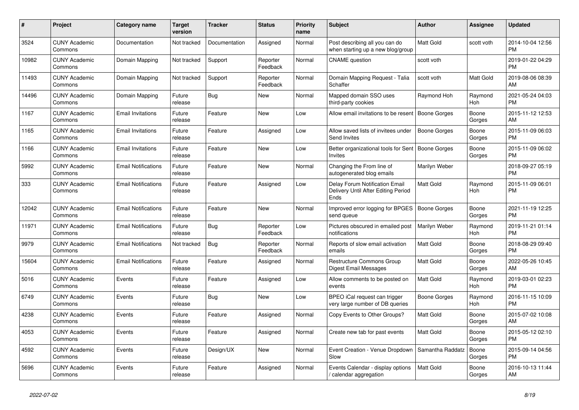| #     | Project                         | <b>Category name</b>       | <b>Target</b><br>version | <b>Tracker</b> | <b>Status</b>        | Priority<br>name | <b>Subject</b>                                                                       | <b>Author</b>        | <b>Assignee</b> | <b>Updated</b>                |
|-------|---------------------------------|----------------------------|--------------------------|----------------|----------------------|------------------|--------------------------------------------------------------------------------------|----------------------|-----------------|-------------------------------|
| 3524  | <b>CUNY Academic</b><br>Commons | Documentation              | Not tracked              | Documentation  | Assigned             | Normal           | Post describing all you can do<br>when starting up a new blog/group                  | Matt Gold            | scott voth      | 2014-10-04 12:56<br><b>PM</b> |
| 10982 | <b>CUNY Academic</b><br>Commons | Domain Mapping             | Not tracked              | Support        | Reporter<br>Feedback | Normal           | <b>CNAME</b> question                                                                | scott voth           |                 | 2019-01-22 04:29<br><b>PM</b> |
| 11493 | <b>CUNY Academic</b><br>Commons | Domain Mapping             | Not tracked              | Support        | Reporter<br>Feedback | Normal           | Domain Mapping Request - Talia<br>Schaffer                                           | scott voth           | Matt Gold       | 2019-08-06 08:39<br>AM        |
| 14496 | <b>CUNY Academic</b><br>Commons | Domain Mapping             | Future<br>release        | Bug            | <b>New</b>           | Normal           | Mapped domain SSO uses<br>third-party cookies                                        | Raymond Hoh          | Raymond<br>Hoh  | 2021-05-24 04:03<br><b>PM</b> |
| 1167  | <b>CUNY Academic</b><br>Commons | <b>Email Invitations</b>   | Future<br>release        | Feature        | New                  | Low              | Allow email invitations to be resent                                                 | Boone Gorges         | Boone<br>Gorges | 2015-11-12 12:53<br>AM        |
| 1165  | <b>CUNY Academic</b><br>Commons | <b>Email Invitations</b>   | Future<br>release        | Feature        | Assigned             | Low              | Allow saved lists of invitees under<br>Send Invites                                  | <b>Boone Gorges</b>  | Boone<br>Gorges | 2015-11-09 06:03<br><b>PM</b> |
| 1166  | <b>CUNY Academic</b><br>Commons | <b>Email Invitations</b>   | Future<br>release        | Feature        | <b>New</b>           | Low              | Better organizational tools for Sent   Boone Gorges<br>Invites                       |                      | Boone<br>Gorges | 2015-11-09 06:02<br><b>PM</b> |
| 5992  | <b>CUNY Academic</b><br>Commons | <b>Email Notifications</b> | Future<br>release        | Feature        | New                  | Normal           | Changing the From line of<br>autogenerated blog emails                               | Marilyn Weber        |                 | 2018-09-27 05:19<br><b>PM</b> |
| 333   | <b>CUNY Academic</b><br>Commons | <b>Email Notifications</b> | Future<br>release        | Feature        | Assigned             | Low              | <b>Delay Forum Notification Email</b><br>Delivery Until After Editing Period<br>Ends | Matt Gold            | Raymond<br>Hoh  | 2015-11-09 06:01<br><b>PM</b> |
| 12042 | <b>CUNY Academic</b><br>Commons | <b>Email Notifications</b> | Future<br>release        | Feature        | New                  | Normal           | Improved error logging for BPGES<br>send queue                                       | <b>Boone Gorges</b>  | Boone<br>Gorges | 2021-11-19 12:25<br><b>PM</b> |
| 11971 | <b>CUNY Academic</b><br>Commons | <b>Email Notifications</b> | Future<br>release        | Bug            | Reporter<br>Feedback | Low              | Pictures obscured in emailed post<br>notifications                                   | <b>Marilyn Weber</b> | Raymond<br>Hoh  | 2019-11-21 01:14<br><b>PM</b> |
| 9979  | <b>CUNY Academic</b><br>Commons | <b>Email Notifications</b> | Not tracked              | Bug            | Reporter<br>Feedback | Normal           | Reports of slow email activation<br>emails                                           | <b>Matt Gold</b>     | Boone<br>Gorges | 2018-08-29 09:40<br><b>PM</b> |
| 15604 | <b>CUNY Academic</b><br>Commons | <b>Email Notifications</b> | Future<br>release        | Feature        | Assigned             | Normal           | Restructure Commons Group<br>Digest Email Messages                                   | Matt Gold            | Boone<br>Gorges | 2022-05-26 10:45<br>AM        |
| 5016  | <b>CUNY Academic</b><br>Commons | Events                     | Future<br>release        | Feature        | Assigned             | Low              | Allow comments to be posted on<br>events                                             | <b>Matt Gold</b>     | Raymond<br>Hoh  | 2019-03-01 02:23<br><b>PM</b> |
| 6749  | <b>CUNY Academic</b><br>Commons | Events                     | Future<br>release        | Bug            | New                  | Low              | BPEO iCal request can trigger<br>very large number of DB queries                     | Boone Gorges         | Raymond<br>Hoh  | 2016-11-15 10:09<br><b>PM</b> |
| 4238  | <b>CUNY Academic</b><br>Commons | Events                     | Future<br>release        | Feature        | Assigned             | Normal           | Copy Events to Other Groups?                                                         | Matt Gold            | Boone<br>Gorges | 2015-07-02 10:08<br>AM        |
| 4053  | <b>CUNY Academic</b><br>Commons | Events                     | Future<br>release        | Feature        | Assigned             | Normal           | Create new tab for past events                                                       | Matt Gold            | Boone<br>Gorges | 2015-05-12 02:10<br><b>PM</b> |
| 4592  | <b>CUNY Academic</b><br>Commons | Events                     | Future<br>release        | Design/UX      | New                  | Normal           | Event Creation - Venue Dropdown<br>Slow                                              | Samantha Raddatz     | Boone<br>Gorges | 2015-09-14 04:56<br><b>PM</b> |
| 5696  | <b>CUNY Academic</b><br>Commons | Events                     | Future<br>release        | Feature        | Assigned             | Normal           | Events Calendar - display options<br>/ calendar aggregation                          | <b>Matt Gold</b>     | Boone<br>Gorges | 2016-10-13 11:44<br>AM        |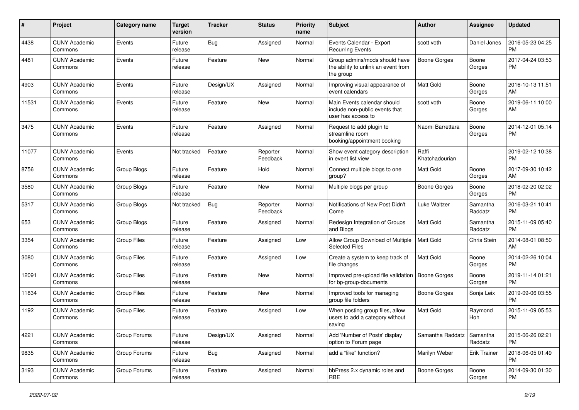| #     | Project                         | <b>Category name</b> | <b>Target</b><br>version | <b>Tracker</b> | <b>Status</b>        | Priority<br>name | Subject                                                                             | Author                  | Assignee            | <b>Updated</b>                |
|-------|---------------------------------|----------------------|--------------------------|----------------|----------------------|------------------|-------------------------------------------------------------------------------------|-------------------------|---------------------|-------------------------------|
| 4438  | <b>CUNY Academic</b><br>Commons | Events               | Future<br>release        | Bug            | Assigned             | Normal           | Events Calendar - Export<br><b>Recurring Events</b>                                 | scott voth              | Daniel Jones        | 2016-05-23 04:25<br>PM        |
| 4481  | <b>CUNY Academic</b><br>Commons | Events               | Future<br>release        | Feature        | New                  | Normal           | Group admins/mods should have<br>the ability to unlink an event from<br>the group   | <b>Boone Gorges</b>     | Boone<br>Gorges     | 2017-04-24 03:53<br><b>PM</b> |
| 4903  | <b>CUNY Academic</b><br>Commons | Events               | Future<br>release        | Design/UX      | Assigned             | Normal           | Improving visual appearance of<br>event calendars                                   | Matt Gold               | Boone<br>Gorges     | 2016-10-13 11:51<br>AM        |
| 11531 | <b>CUNY Academic</b><br>Commons | Events               | Future<br>release        | Feature        | <b>New</b>           | Normal           | Main Events calendar should<br>include non-public events that<br>user has access to | scott voth              | Boone<br>Gorges     | 2019-06-11 10:00<br>AM.       |
| 3475  | <b>CUNY Academic</b><br>Commons | Events               | Future<br>release        | Feature        | Assigned             | Normal           | Request to add plugin to<br>streamline room<br>booking/appointment booking          | Naomi Barrettara        | Boone<br>Gorges     | 2014-12-01 05:14<br><b>PM</b> |
| 11077 | <b>CUNY Academic</b><br>Commons | Events               | Not tracked              | Feature        | Reporter<br>Feedback | Normal           | Show event category description<br>in event list view                               | Raffi<br>Khatchadourian |                     | 2019-02-12 10:38<br><b>PM</b> |
| 8756  | <b>CUNY Academic</b><br>Commons | Group Blogs          | Future<br>release        | Feature        | Hold                 | Normal           | Connect multiple blogs to one<br>group?                                             | <b>Matt Gold</b>        | Boone<br>Gorges     | 2017-09-30 10:42<br>AM        |
| 3580  | <b>CUNY Academic</b><br>Commons | Group Blogs          | Future<br>release        | Feature        | <b>New</b>           | Normal           | Multiple blogs per group                                                            | Boone Gorges            | Boone<br>Gorges     | 2018-02-20 02:02<br><b>PM</b> |
| 5317  | <b>CUNY Academic</b><br>Commons | Group Blogs          | Not tracked              | Bug            | Reporter<br>Feedback | Normal           | Notifications of New Post Didn't<br>Come                                            | Luke Waltzer            | Samantha<br>Raddatz | 2016-03-21 10:41<br><b>PM</b> |
| 653   | <b>CUNY Academic</b><br>Commons | Group Blogs          | Future<br>release        | Feature        | Assigned             | Normal           | Redesign Integration of Groups<br>and Blogs                                         | <b>Matt Gold</b>        | Samantha<br>Raddatz | 2015-11-09 05:40<br><b>PM</b> |
| 3354  | <b>CUNY Academic</b><br>Commons | <b>Group Files</b>   | Future<br>release        | Feature        | Assigned             | Low              | Allow Group Download of Multiple<br><b>Selected Files</b>                           | <b>Matt Gold</b>        | Chris Stein         | 2014-08-01 08:50<br>AM        |
| 3080  | <b>CUNY Academic</b><br>Commons | <b>Group Files</b>   | Future<br>release        | Feature        | Assigned             | Low              | Create a system to keep track of<br>file changes                                    | <b>Matt Gold</b>        | Boone<br>Gorges     | 2014-02-26 10:04<br><b>PM</b> |
| 12091 | <b>CUNY Academic</b><br>Commons | Group Files          | Future<br>release        | Feature        | New                  | Normal           | Improved pre-upload file validation<br>for bp-group-documents                       | <b>Boone Gorges</b>     | Boone<br>Gorges     | 2019-11-14 01:21<br><b>PM</b> |
| 11834 | <b>CUNY Academic</b><br>Commons | <b>Group Files</b>   | Future<br>release        | Feature        | <b>New</b>           | Normal           | Improved tools for managing<br>group file folders                                   | <b>Boone Gorges</b>     | Sonja Leix          | 2019-09-06 03:55<br><b>PM</b> |
| 1192  | <b>CUNY Academic</b><br>Commons | Group Files          | Future<br>release        | Feature        | Assigned             | Low              | When posting group files, allow<br>users to add a category without<br>saving        | Matt Gold               | Raymond<br>Hoh      | 2015-11-09 05:53<br><b>PM</b> |
| 4221  | <b>CUNY Academic</b><br>Commons | Group Forums         | Future<br>release        | Design/UX      | Assigned             | Normal           | Add 'Number of Posts' display<br>option to Forum page                               | Samantha Raddatz        | Samantha<br>Raddatz | 2015-06-26 02:21<br><b>PM</b> |
| 9835  | <b>CUNY Academic</b><br>Commons | Group Forums         | Future<br>release        | <b>Bug</b>     | Assigned             | Normal           | add a "like" function?                                                              | Marilyn Weber           | <b>Erik Trainer</b> | 2018-06-05 01:49<br><b>PM</b> |
| 3193  | <b>CUNY Academic</b><br>Commons | Group Forums         | Future<br>release        | Feature        | Assigned             | Normal           | bbPress 2.x dynamic roles and<br>RBE                                                | Boone Gorges            | Boone<br>Gorges     | 2014-09-30 01:30<br>PM        |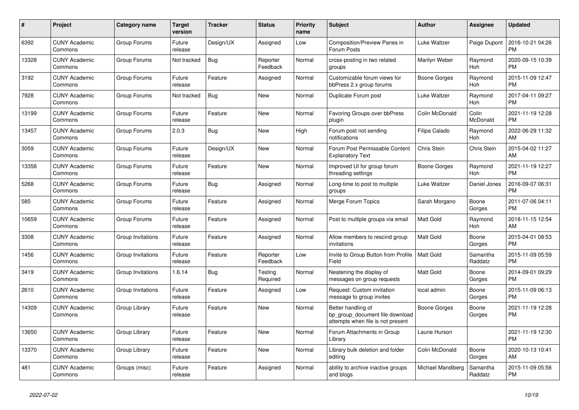| $\pmb{\#}$ | <b>Project</b>                  | <b>Category name</b> | <b>Target</b><br>version | <b>Tracker</b> | <b>Status</b>        | <b>Priority</b><br>name | <b>Subject</b>                                                                             | <b>Author</b>     | Assignee            | <b>Updated</b>                |
|------------|---------------------------------|----------------------|--------------------------|----------------|----------------------|-------------------------|--------------------------------------------------------------------------------------------|-------------------|---------------------|-------------------------------|
| 6392       | <b>CUNY Academic</b><br>Commons | Group Forums         | Future<br>release        | Design/UX      | Assigned             | Low                     | Composition/Preview Panes in<br>Forum Posts                                                | Luke Waltzer      | Paige Dupont        | 2016-10-21 04:26<br><b>PM</b> |
| 13328      | <b>CUNY Academic</b><br>Commons | Group Forums         | Not tracked              | <b>Bug</b>     | Reporter<br>Feedback | Normal                  | cross-posting in two related<br>groups                                                     | Marilyn Weber     | Raymond<br>Hoh      | 2020-09-15 10:39<br><b>PM</b> |
| 3192       | <b>CUNY Academic</b><br>Commons | Group Forums         | Future<br>release        | Feature        | Assigned             | Normal                  | Customizable forum views for<br>bbPress 2.x group forums                                   | Boone Gorges      | Raymond<br>Hoh      | 2015-11-09 12:47<br><b>PM</b> |
| 7928       | <b>CUNY Academic</b><br>Commons | Group Forums         | Not tracked              | <b>Bug</b>     | <b>New</b>           | Normal                  | Duplicate Forum post                                                                       | Luke Waltzer      | Raymond<br>Hoh      | 2017-04-11 09:27<br><b>PM</b> |
| 13199      | <b>CUNY Academic</b><br>Commons | Group Forums         | Future<br>release        | Feature        | New                  | Normal                  | Favoring Groups over bbPress<br>plugin                                                     | Colin McDonald    | Colin<br>McDonald   | 2021-11-19 12:28<br><b>PM</b> |
| 13457      | <b>CUNY Academic</b><br>Commons | Group Forums         | 2.0.3                    | Bug            | New                  | High                    | Forum post not sending<br>notifications                                                    | Filipa Calado     | Raymond<br>Hoh      | 2022-06-29 11:32<br>AM        |
| 3059       | <b>CUNY Academic</b><br>Commons | Group Forums         | Future<br>release        | Design/UX      | <b>New</b>           | Normal                  | Forum Post Permissable Content<br><b>Explanatory Text</b>                                  | Chris Stein       | Chris Stein         | 2015-04-02 11:27<br>AM        |
| 13358      | <b>CUNY Academic</b><br>Commons | Group Forums         | Future<br>release        | Feature        | <b>New</b>           | Normal                  | Improved UI for group forum<br>threading settings                                          | Boone Gorges      | Raymond<br>Hoh      | 2021-11-19 12:27<br><b>PM</b> |
| 5268       | <b>CUNY Academic</b><br>Commons | Group Forums         | Future<br>release        | Bug            | Assigned             | Normal                  | Long-time to post to multiple<br>groups                                                    | Luke Waltzer      | Daniel Jones        | 2016-09-07 06:31<br><b>PM</b> |
| 585        | <b>CUNY Academic</b><br>Commons | Group Forums         | Future<br>release        | Feature        | Assigned             | Normal                  | Merge Forum Topics                                                                         | Sarah Morgano     | Boone<br>Gorges     | 2011-07-06 04:11<br><b>PM</b> |
| 10659      | <b>CUNY Academic</b><br>Commons | Group Forums         | Future<br>release        | Feature        | Assigned             | Normal                  | Post to multiple groups via email                                                          | Matt Gold         | Raymond<br>Hoh      | 2018-11-15 12:54<br>AM        |
| 3308       | <b>CUNY Academic</b><br>Commons | Group Invitations    | Future<br>release        | Feature        | Assigned             | Normal                  | Allow members to rescind group<br>invitations                                              | <b>Matt Gold</b>  | Boone<br>Gorges     | 2015-04-01 08:53<br><b>PM</b> |
| 1456       | <b>CUNY Academic</b><br>Commons | Group Invitations    | Future<br>release        | Feature        | Reporter<br>Feedback | Low                     | Invite to Group Button from Profile<br>Field                                               | <b>Matt Gold</b>  | Samantha<br>Raddatz | 2015-11-09 05:59<br><b>PM</b> |
| 3419       | <b>CUNY Academic</b><br>Commons | Group Invitations    | 1.6.14                   | <b>Bug</b>     | Testing<br>Required  | Normal                  | Neatening the display of<br>messages on group requests                                     | <b>Matt Gold</b>  | Boone<br>Gorges     | 2014-09-01 09:29<br><b>PM</b> |
| 2610       | <b>CUNY Academic</b><br>Commons | Group Invitations    | Future<br>release        | Feature        | Assigned             | Low                     | Request: Custom invitation<br>message to group invites                                     | local admin       | Boone<br>Gorges     | 2015-11-09 06:13<br><b>PM</b> |
| 14309      | <b>CUNY Academic</b><br>Commons | Group Library        | Future<br>release        | Feature        | New                  | Normal                  | Better handling of<br>bp_group_document file download<br>attempts when file is not present | Boone Gorges      | Boone<br>Gorges     | 2021-11-19 12:28<br><b>PM</b> |
| 13650      | <b>CUNY Academic</b><br>Commons | Group Library        | Future<br>release        | Feature        | <b>New</b>           | Normal                  | Forum Attachments in Group<br>Library                                                      | Laurie Hurson     |                     | 2021-11-19 12:30<br><b>PM</b> |
| 13370      | <b>CUNY Academic</b><br>Commons | Group Library        | Future<br>release        | Feature        | New                  | Normal                  | Library bulk deletion and folder<br>editing                                                | Colin McDonald    | Boone<br>Gorges     | 2020-10-13 10:41<br>AM        |
| 481        | <b>CUNY Academic</b><br>Commons | Groups (misc)        | Future<br>release        | Feature        | Assigned             | Normal                  | ability to archive inactive groups<br>and blogs                                            | Michael Mandiberg | Samantha<br>Raddatz | 2015-11-09 05:56<br><b>PM</b> |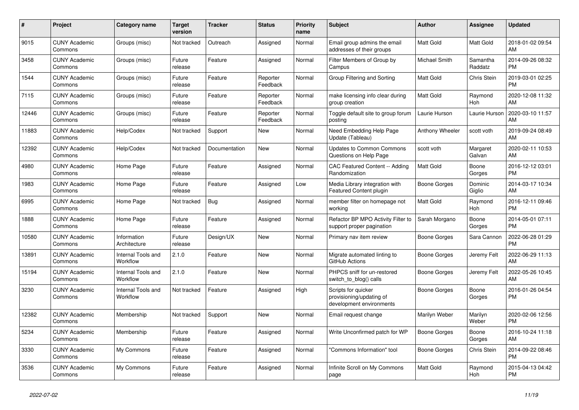| #     | Project                         | <b>Category name</b>           | Target<br>version | <b>Tracker</b> | <b>Status</b>        | <b>Priority</b><br>name | <b>Subject</b>                                                              | <b>Author</b>    | Assignee            | <b>Updated</b>                |
|-------|---------------------------------|--------------------------------|-------------------|----------------|----------------------|-------------------------|-----------------------------------------------------------------------------|------------------|---------------------|-------------------------------|
| 9015  | <b>CUNY Academic</b><br>Commons | Groups (misc)                  | Not tracked       | Outreach       | Assigned             | Normal                  | Email group admins the email<br>addresses of their groups                   | <b>Matt Gold</b> | Matt Gold           | 2018-01-02 09:54<br>AM        |
| 3458  | <b>CUNY Academic</b><br>Commons | Groups (misc)                  | Future<br>release | Feature        | Assigned             | Normal                  | Filter Members of Group by<br>Campus                                        | Michael Smith    | Samantha<br>Raddatz | 2014-09-26 08:32<br><b>PM</b> |
| 1544  | <b>CUNY Academic</b><br>Commons | Groups (misc)                  | Future<br>release | Feature        | Reporter<br>Feedback | Normal                  | Group Filtering and Sorting                                                 | <b>Matt Gold</b> | Chris Stein         | 2019-03-01 02:25<br><b>PM</b> |
| 7115  | <b>CUNY Academic</b><br>Commons | Groups (misc)                  | Future<br>release | Feature        | Reporter<br>Feedback | Normal                  | make licensing info clear during<br>group creation                          | <b>Matt Gold</b> | Raymond<br>Hoh      | 2020-12-08 11:32<br>AM        |
| 12446 | <b>CUNY Academic</b><br>Commons | Groups (misc)                  | Future<br>release | Feature        | Reporter<br>Feedback | Normal                  | Toggle default site to group forum<br>posting                               | Laurie Hurson    | Laurie Hurson       | 2020-03-10 11:57<br>AM        |
| 11883 | <b>CUNY Academic</b><br>Commons | Help/Codex                     | Not tracked       | Support        | New                  | Normal                  | Need Embedding Help Page<br>Update (Tableau)                                | Anthony Wheeler  | scott voth          | 2019-09-24 08:49<br>AM        |
| 12392 | <b>CUNY Academic</b><br>Commons | Help/Codex                     | Not tracked       | Documentation  | <b>New</b>           | Normal                  | Updates to Common Commons<br>Questions on Help Page                         | scott voth       | Margaret<br>Galvan  | 2020-02-11 10:53<br>AM        |
| 4980  | <b>CUNY Academic</b><br>Commons | Home Page                      | Future<br>release | Feature        | Assigned             | Normal                  | <b>CAC Featured Content -- Adding</b><br>Randomization                      | <b>Matt Gold</b> | Boone<br>Gorges     | 2016-12-12 03:01<br><b>PM</b> |
| 1983  | <b>CUNY Academic</b><br>Commons | Home Page                      | Future<br>release | Feature        | Assigned             | Low                     | Media Library integration with<br><b>Featured Content plugin</b>            | Boone Gorges     | Dominic<br>Giglio   | 2014-03-17 10:34<br>AM        |
| 6995  | <b>CUNY Academic</b><br>Commons | Home Page                      | Not tracked       | <b>Bug</b>     | Assigned             | Normal                  | member filter on homepage not<br>workina                                    | <b>Matt Gold</b> | Raymond<br>Hoh      | 2016-12-11 09:46<br><b>PM</b> |
| 1888  | <b>CUNY Academic</b><br>Commons | Home Page                      | Future<br>release | Feature        | Assigned             | Normal                  | Refactor BP MPO Activity Filter to<br>support proper pagination             | Sarah Morgano    | Boone<br>Gorges     | 2014-05-01 07:11<br><b>PM</b> |
| 10580 | <b>CUNY Academic</b><br>Commons | Information<br>Architecture    | Future<br>release | Design/UX      | New                  | Normal                  | Primary nav item review                                                     | Boone Gorges     | Sara Cannon         | 2022-06-28 01:29<br><b>PM</b> |
| 13891 | <b>CUNY Academic</b><br>Commons | Internal Tools and<br>Workflow | 2.1.0             | Feature        | <b>New</b>           | Normal                  | Migrate automated linting to<br>GitHub Actions                              | Boone Gorges     | Jeremy Felt         | 2022-06-29 11:13<br>AM        |
| 15194 | <b>CUNY Academic</b><br>Commons | Internal Tools and<br>Workflow | 2.1.0             | Feature        | <b>New</b>           | Normal                  | PHPCS sniff for un-restored<br>switch_to_blog() calls                       | Boone Gorges     | Jeremy Felt         | 2022-05-26 10:45<br>AM        |
| 3230  | <b>CUNY Academic</b><br>Commons | Internal Tools and<br>Workflow | Not tracked       | Feature        | Assigned             | High                    | Scripts for quicker<br>provisioning/updating of<br>development environments | Boone Gorges     | Boone<br>Gorges     | 2016-01-26 04:54<br><b>PM</b> |
| 12382 | <b>CUNY Academic</b><br>Commons | Membership                     | Not tracked       | Support        | <b>New</b>           | Normal                  | Email request change                                                        | Marilyn Weber    | Marilyn<br>Weber    | 2020-02-06 12:56<br><b>PM</b> |
| 5234  | <b>CUNY Academic</b><br>Commons | Membership                     | Future<br>release | Feature        | Assigned             | Normal                  | Write Unconfirmed patch for WP                                              | Boone Gorges     | Boone<br>Gorges     | 2016-10-24 11:18<br>AM        |
| 3330  | <b>CUNY Academic</b><br>Commons | My Commons                     | Future<br>release | Feature        | Assigned             | Normal                  | "Commons Information" tool                                                  | Boone Gorges     | Chris Stein         | 2014-09-22 08:46<br><b>PM</b> |
| 3536  | <b>CUNY Academic</b><br>Commons | My Commons                     | Future<br>release | Feature        | Assigned             | Normal                  | Infinite Scroll on My Commons<br>page                                       | <b>Matt Gold</b> | Raymond<br>Hoh      | 2015-04-13 04:42<br><b>PM</b> |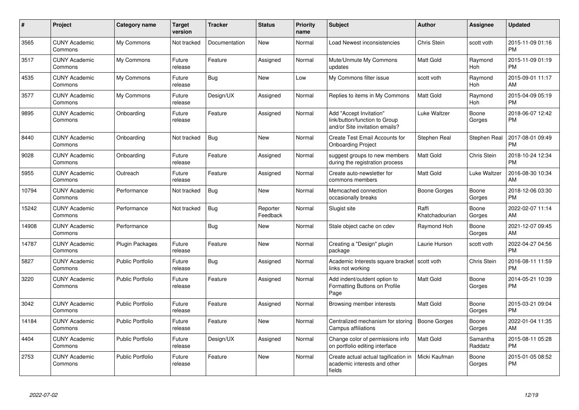| #     | <b>Project</b>                  | Category name           | <b>Target</b><br>version | <b>Tracker</b> | <b>Status</b>        | <b>Priority</b><br>name | <b>Subject</b>                                                                             | Author                  | Assignee            | <b>Updated</b>                |
|-------|---------------------------------|-------------------------|--------------------------|----------------|----------------------|-------------------------|--------------------------------------------------------------------------------------------|-------------------------|---------------------|-------------------------------|
| 3565  | <b>CUNY Academic</b><br>Commons | My Commons              | Not tracked              | Documentation  | <b>New</b>           | Normal                  | Load Newest inconsistencies                                                                | Chris Stein             | scott voth          | 2015-11-09 01:16<br><b>PM</b> |
| 3517  | <b>CUNY Academic</b><br>Commons | My Commons              | Future<br>release        | Feature        | Assigned             | Normal                  | Mute/Unmute My Commons<br>updates                                                          | <b>Matt Gold</b>        | Raymond<br>Hoh      | 2015-11-09 01:19<br><b>PM</b> |
| 4535  | <b>CUNY Academic</b><br>Commons | My Commons              | Future<br>release        | Bug            | <b>New</b>           | Low                     | My Commons filter issue                                                                    | scott voth              | Raymond<br>Hoh      | 2015-09-01 11:17<br>AM        |
| 3577  | <b>CUNY Academic</b><br>Commons | My Commons              | Future<br>release        | Design/UX      | Assigned             | Normal                  | Replies to items in My Commons                                                             | <b>Matt Gold</b>        | Raymond<br>Hoh      | 2015-04-09 05:19<br><b>PM</b> |
| 9895  | <b>CUNY Academic</b><br>Commons | Onboarding              | Future<br>release        | Feature        | Assigned             | Normal                  | Add "Accept Invitation"<br>link/button/function to Group<br>and/or Site invitation emails? | Luke Waltzer            | Boone<br>Gorges     | 2018-06-07 12:42<br><b>PM</b> |
| 8440  | <b>CUNY Academic</b><br>Commons | Onboarding              | Not tracked              | Bug            | <b>New</b>           | Normal                  | Create Test Email Accounts for<br><b>Onboarding Project</b>                                | Stephen Real            | Stephen Real        | 2017-08-01 09:49<br><b>PM</b> |
| 9028  | <b>CUNY Academic</b><br>Commons | Onboarding              | Future<br>release        | Feature        | Assigned             | Normal                  | suggest groups to new members<br>during the registration process                           | <b>Matt Gold</b>        | Chris Stein         | 2018-10-24 12:34<br><b>PM</b> |
| 5955  | <b>CUNY Academic</b><br>Commons | Outreach                | Future<br>release        | Feature        | Assigned             | Normal                  | Create auto-newsletter for<br>commons members                                              | Matt Gold               | Luke Waltzer        | 2016-08-30 10:34<br>AM        |
| 10794 | <b>CUNY Academic</b><br>Commons | Performance             | Not tracked              | <b>Bug</b>     | <b>New</b>           | Normal                  | Memcached connection<br>occasionally breaks                                                | Boone Gorges            | Boone<br>Gorges     | 2018-12-06 03:30<br><b>PM</b> |
| 15242 | <b>CUNY Academic</b><br>Commons | Performance             | Not tracked              | <b>Bug</b>     | Reporter<br>Feedback | Normal                  | Slugist site                                                                               | Raffi<br>Khatchadourian | Boone<br>Gorges     | 2022-02-07 11:14<br>AM        |
| 14908 | <b>CUNY Academic</b><br>Commons | Performance             |                          | Bug            | <b>New</b>           | Normal                  | Stale object cache on cdev                                                                 | Raymond Hoh             | Boone<br>Gorges     | 2021-12-07 09:45<br>AM        |
| 14787 | <b>CUNY Academic</b><br>Commons | <b>Plugin Packages</b>  | Future<br>release        | Feature        | <b>New</b>           | Normal                  | Creating a "Design" plugin<br>package                                                      | Laurie Hurson           | scott voth          | 2022-04-27 04:56<br><b>PM</b> |
| 5827  | <b>CUNY Academic</b><br>Commons | <b>Public Portfolio</b> | Future<br>release        | Bug            | Assigned             | Normal                  | Academic Interests square bracket   scott voth<br>links not working                        |                         | Chris Stein         | 2016-08-11 11:59<br><b>PM</b> |
| 3220  | <b>CUNY Academic</b><br>Commons | Public Portfolio        | Future<br>release        | Feature        | Assigned             | Normal                  | Add indent/outdent option to<br>Formatting Buttons on Profile<br>Page                      | <b>Matt Gold</b>        | Boone<br>Gorges     | 2014-05-21 10:39<br><b>PM</b> |
| 3042  | <b>CUNY Academic</b><br>Commons | <b>Public Portfolio</b> | Future<br>release        | Feature        | Assigned             | Normal                  | Browsing member interests                                                                  | Matt Gold               | Boone<br>Gorges     | 2015-03-21 09:04<br><b>PM</b> |
| 14184 | <b>CUNY Academic</b><br>Commons | Public Portfolio        | Future<br>release        | Feature        | <b>New</b>           | Normal                  | Centralized mechanism for storing<br>Campus affiliations                                   | Boone Gorges            | Boone<br>Gorges     | 2022-01-04 11:35<br>AM        |
| 4404  | <b>CUNY Academic</b><br>Commons | <b>Public Portfolio</b> | Future<br>release        | Design/UX      | Assigned             | Normal                  | Change color of permissions info<br>on portfolio editing interface                         | Matt Gold               | Samantha<br>Raddatz | 2015-08-11 05:28<br><b>PM</b> |
| 2753  | <b>CUNY Academic</b><br>Commons | <b>Public Portfolio</b> | Future<br>release        | Feature        | <b>New</b>           | Normal                  | Create actual actual tagification in<br>academic interests and other<br>fields             | Micki Kaufman           | Boone<br>Gorges     | 2015-01-05 08:52<br><b>PM</b> |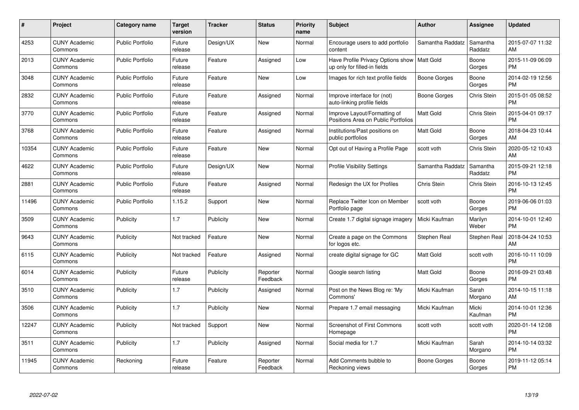| $\#$  | Project                         | <b>Category name</b>    | Target<br>version | <b>Tracker</b> | <b>Status</b>        | Priority<br>name | <b>Subject</b>                                                      | <b>Author</b>    | <b>Assignee</b>     | <b>Updated</b>                |
|-------|---------------------------------|-------------------------|-------------------|----------------|----------------------|------------------|---------------------------------------------------------------------|------------------|---------------------|-------------------------------|
| 4253  | <b>CUNY Academic</b><br>Commons | <b>Public Portfolio</b> | Future<br>release | Design/UX      | <b>New</b>           | Normal           | Encourage users to add portfolio<br>content                         | Samantha Raddatz | Samantha<br>Raddatz | 2015-07-07 11:32<br>AM        |
| 2013  | <b>CUNY Academic</b><br>Commons | <b>Public Portfolio</b> | Future<br>release | Feature        | Assigned             | Low              | Have Profile Privacy Options show<br>up only for filled-in fields   | l Matt Gold      | Boone<br>Gorges     | 2015-11-09 06:09<br><b>PM</b> |
| 3048  | <b>CUNY Academic</b><br>Commons | <b>Public Portfolio</b> | Future<br>release | Feature        | <b>New</b>           | Low              | Images for rich text profile fields                                 | Boone Gorges     | Boone<br>Gorges     | 2014-02-19 12:56<br><b>PM</b> |
| 2832  | <b>CUNY Academic</b><br>Commons | <b>Public Portfolio</b> | Future<br>release | Feature        | Assigned             | Normal           | Improve interface for (not)<br>auto-linking profile fields          | Boone Gorges     | Chris Stein         | 2015-01-05 08:52<br><b>PM</b> |
| 3770  | <b>CUNY Academic</b><br>Commons | <b>Public Portfolio</b> | Future<br>release | Feature        | Assigned             | Normal           | Improve Layout/Formatting of<br>Positions Area on Public Portfolios | <b>Matt Gold</b> | Chris Stein         | 2015-04-01 09:17<br><b>PM</b> |
| 3768  | <b>CUNY Academic</b><br>Commons | <b>Public Portfolio</b> | Future<br>release | Feature        | Assigned             | Normal           | Institutions/Past positions on<br>public portfolios                 | <b>Matt Gold</b> | Boone<br>Gorges     | 2018-04-23 10:44<br>AM        |
| 10354 | <b>CUNY Academic</b><br>Commons | <b>Public Portfolio</b> | Future<br>release | Feature        | New                  | Normal           | Opt out of Having a Profile Page                                    | scott voth       | Chris Stein         | 2020-05-12 10:43<br>AM        |
| 4622  | <b>CUNY Academic</b><br>Commons | <b>Public Portfolio</b> | Future<br>release | Design/UX      | <b>New</b>           | Normal           | <b>Profile Visibility Settings</b>                                  | Samantha Raddatz | Samantha<br>Raddatz | 2015-09-21 12:18<br><b>PM</b> |
| 2881  | <b>CUNY Academic</b><br>Commons | <b>Public Portfolio</b> | Future<br>release | Feature        | Assigned             | Normal           | Redesign the UX for Profiles                                        | Chris Stein      | <b>Chris Stein</b>  | 2016-10-13 12:45<br><b>PM</b> |
| 11496 | <b>CUNY Academic</b><br>Commons | <b>Public Portfolio</b> | 1.15.2            | Support        | New                  | Normal           | Replace Twitter Icon on Member<br>Portfolio page                    | scott voth       | Boone<br>Gorges     | 2019-06-06 01:03<br><b>PM</b> |
| 3509  | <b>CUNY Academic</b><br>Commons | Publicity               | 1.7               | Publicity      | New                  | Normal           | Create 1.7 digital signage imagery                                  | Micki Kaufman    | Marilyn<br>Weber    | 2014-10-01 12:40<br><b>PM</b> |
| 9643  | <b>CUNY Academic</b><br>Commons | Publicity               | Not tracked       | Feature        | New                  | Normal           | Create a page on the Commons<br>for logos etc.                      | Stephen Real     | Stephen Real        | 2018-04-24 10:53<br>AM        |
| 6115  | <b>CUNY Academic</b><br>Commons | Publicity               | Not tracked       | Feature        | Assigned             | Normal           | create digital signage for GC                                       | Matt Gold        | scott voth          | 2016-10-11 10:09<br><b>PM</b> |
| 6014  | <b>CUNY Academic</b><br>Commons | Publicity               | Future<br>release | Publicity      | Reporter<br>Feedback | Normal           | Google search listing                                               | Matt Gold        | Boone<br>Gorges     | 2016-09-21 03:48<br><b>PM</b> |
| 3510  | <b>CUNY Academic</b><br>Commons | Publicity               | 1.7               | Publicity      | Assigned             | Normal           | Post on the News Blog re: 'My<br>Commons'                           | Micki Kaufman    | Sarah<br>Morgano    | 2014-10-15 11:18<br>AM        |
| 3506  | <b>CUNY Academic</b><br>Commons | Publicity               | 1.7               | Publicity      | New                  | Normal           | Prepare 1.7 email messaging                                         | Micki Kaufman    | Micki<br>Kaufman    | 2014-10-01 12:36<br><b>PM</b> |
| 12247 | <b>CUNY Academic</b><br>Commons | Publicity               | Not tracked       | Support        | New                  | Normal           | Screenshot of First Commons<br>Homepage                             | scott voth       | scott voth          | 2020-01-14 12:08<br><b>PM</b> |
| 3511  | <b>CUNY Academic</b><br>Commons | Publicity               | 1.7               | Publicity      | Assigned             | Normal           | Social media for 1.7                                                | Micki Kaufman    | Sarah<br>Morgano    | 2014-10-14 03:32<br><b>PM</b> |
| 11945 | CUNY Academic<br>Commons        | Reckoning               | Future<br>release | Feature        | Reporter<br>Feedback | Normal           | Add Comments bubble to<br>Reckoning views                           | Boone Gorges     | Boone<br>Gorges     | 2019-11-12 05:14<br><b>PM</b> |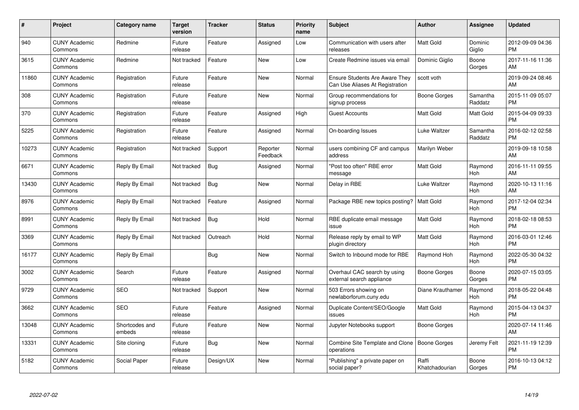| $\#$  | Project                         | <b>Category name</b>     | <b>Target</b><br>version | <b>Tracker</b> | <b>Status</b>        | Priority<br>name | <b>Subject</b>                                                           | <b>Author</b>           | <b>Assignee</b>     | <b>Updated</b>                |
|-------|---------------------------------|--------------------------|--------------------------|----------------|----------------------|------------------|--------------------------------------------------------------------------|-------------------------|---------------------|-------------------------------|
| 940   | <b>CUNY Academic</b><br>Commons | Redmine                  | Future<br>release        | Feature        | Assigned             | Low              | Communication with users after<br>releases                               | <b>Matt Gold</b>        | Dominic<br>Giglio   | 2012-09-09 04:36<br><b>PM</b> |
| 3615  | <b>CUNY Academic</b><br>Commons | Redmine                  | Not tracked              | Feature        | <b>New</b>           | Low              | Create Redmine issues via email                                          | Dominic Giglio          | Boone<br>Gorges     | 2017-11-16 11:36<br>AM        |
| 11860 | <b>CUNY Academic</b><br>Commons | Registration             | Future<br>release        | Feature        | <b>New</b>           | Normal           | <b>Ensure Students Are Aware They</b><br>Can Use Aliases At Registration | scott voth              |                     | 2019-09-24 08:46<br>AM        |
| 308   | <b>CUNY Academic</b><br>Commons | Registration             | Future<br>release        | Feature        | <b>New</b>           | Normal           | Group recommendations for<br>signup process                              | Boone Gorges            | Samantha<br>Raddatz | 2015-11-09 05:07<br><b>PM</b> |
| 370   | <b>CUNY Academic</b><br>Commons | Registration             | Future<br>release        | Feature        | Assigned             | High             | <b>Guest Accounts</b>                                                    | Matt Gold               | Matt Gold           | 2015-04-09 09:33<br><b>PM</b> |
| 5225  | <b>CUNY Academic</b><br>Commons | Registration             | Future<br>release        | Feature        | Assigned             | Normal           | On-boarding Issues                                                       | Luke Waltzer            | Samantha<br>Raddatz | 2016-02-12 02:58<br><b>PM</b> |
| 10273 | <b>CUNY Academic</b><br>Commons | Registration             | Not tracked              | Support        | Reporter<br>Feedback | Normal           | users combining CF and campus<br>address                                 | Marilyn Weber           |                     | 2019-09-18 10:58<br>AM        |
| 6671  | <b>CUNY Academic</b><br>Commons | Reply By Email           | Not tracked              | Bug            | Assigned             | Normal           | "Post too often" RBE error<br>message                                    | <b>Matt Gold</b>        | Raymond<br>Hoh      | 2016-11-11 09:55<br>AM        |
| 13430 | <b>CUNY Academic</b><br>Commons | Reply By Email           | Not tracked              | <b>Bug</b>     | New                  | Normal           | Delay in RBE                                                             | Luke Waltzer            | Raymond<br>Hoh      | 2020-10-13 11:16<br>AM        |
| 8976  | <b>CUNY Academic</b><br>Commons | Reply By Email           | Not tracked              | Feature        | Assigned             | Normal           | Package RBE new topics posting?                                          | <b>Matt Gold</b>        | Raymond<br>Hoh      | 2017-12-04 02:34<br><b>PM</b> |
| 8991  | <b>CUNY Academic</b><br>Commons | Reply By Email           | Not tracked              | Bug            | Hold                 | Normal           | RBE duplicate email message<br>issue                                     | Matt Gold               | Raymond<br>Hoh      | 2018-02-18 08:53<br><b>PM</b> |
| 3369  | <b>CUNY Academic</b><br>Commons | Reply By Email           | Not tracked              | Outreach       | Hold                 | Normal           | Release reply by email to WP<br>plugin directory                         | Matt Gold               | Raymond<br>Hoh      | 2016-03-01 12:46<br><b>PM</b> |
| 16177 | <b>CUNY Academic</b><br>Commons | Reply By Email           |                          | Bug            | New                  | Normal           | Switch to Inbound mode for RBE                                           | Raymond Hoh             | Raymond<br>Hoh      | 2022-05-30 04:32<br><b>PM</b> |
| 3002  | <b>CUNY Academic</b><br>Commons | Search                   | Future<br>release        | Feature        | Assigned             | Normal           | Overhaul CAC search by using<br>external search appliance                | Boone Gorges            | Boone<br>Gorges     | 2020-07-15 03:05<br><b>PM</b> |
| 9729  | <b>CUNY Academic</b><br>Commons | <b>SEO</b>               | Not tracked              | Support        | New                  | Normal           | 503 Errors showing on<br>newlaborforum.cuny.edu                          | Diane Krauthamer        | Raymond<br>Hoh      | 2018-05-22 04:48<br><b>PM</b> |
| 3662  | <b>CUNY Academic</b><br>Commons | <b>SEO</b>               | Future<br>release        | Feature        | Assigned             | Normal           | Duplicate Content/SEO/Google<br>issues                                   | Matt Gold               | Raymond<br>Hoh      | 2015-04-13 04:37<br><b>PM</b> |
| 13048 | <b>CUNY Academic</b><br>Commons | Shortcodes and<br>embeds | Future<br>release        | Feature        | New                  | Normal           | Jupyter Notebooks support                                                | Boone Gorges            |                     | 2020-07-14 11:46<br>AM        |
| 13331 | <b>CUNY Academic</b><br>Commons | Site cloning             | Future<br>release        | Bug            | New                  | Normal           | Combine Site Template and Clone<br>operations                            | Boone Gorges            | Jeremy Felt         | 2021-11-19 12:39<br><b>PM</b> |
| 5182  | <b>CUNY Academic</b><br>Commons | Social Paper             | Future<br>release        | Design/UX      | <b>New</b>           | Normal           | "Publishing" a private paper on<br>social paper?                         | Raffi<br>Khatchadourian | Boone<br>Gorges     | 2016-10-13 04:12<br><b>PM</b> |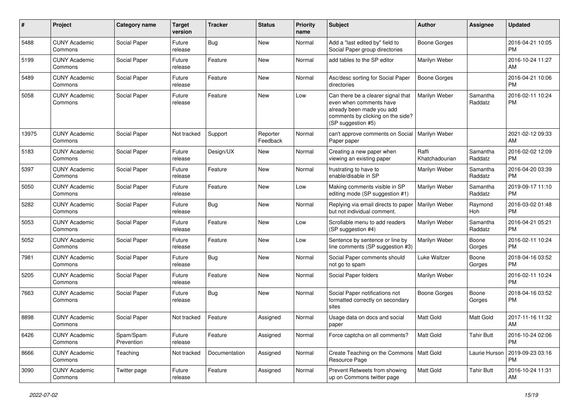| #     | Project                         | <b>Category name</b>    | <b>Target</b><br>version | <b>Tracker</b> | <b>Status</b>        | <b>Priority</b><br>name | Subject                                                                                                                                               | <b>Author</b>           | <b>Assignee</b>     | <b>Updated</b>                |
|-------|---------------------------------|-------------------------|--------------------------|----------------|----------------------|-------------------------|-------------------------------------------------------------------------------------------------------------------------------------------------------|-------------------------|---------------------|-------------------------------|
| 5488  | <b>CUNY Academic</b><br>Commons | Social Paper            | Future<br>release        | <b>Bug</b>     | <b>New</b>           | Normal                  | Add a "last edited by" field to<br>Social Paper group directories                                                                                     | <b>Boone Gorges</b>     |                     | 2016-04-21 10:05<br><b>PM</b> |
| 5199  | <b>CUNY Academic</b><br>Commons | Social Paper            | Future<br>release        | Feature        | New                  | Normal                  | add tables to the SP editor                                                                                                                           | Marilyn Weber           |                     | 2016-10-24 11:27<br>AM.       |
| 5489  | <b>CUNY Academic</b><br>Commons | Social Paper            | Future<br>release        | Feature        | New                  | Normal                  | Asc/desc sorting for Social Paper<br>directories                                                                                                      | Boone Gorges            |                     | 2016-04-21 10:06<br><b>PM</b> |
| 5058  | <b>CUNY Academic</b><br>Commons | Social Paper            | Future<br>release        | Feature        | New                  | Low                     | Can there be a clearer signal that<br>even when comments have<br>already been made you add<br>comments by clicking on the side?<br>(SP suggestion #5) | Marilyn Weber           | Samantha<br>Raddatz | 2016-02-11 10:24<br><b>PM</b> |
| 13975 | <b>CUNY Academic</b><br>Commons | Social Paper            | Not tracked              | Support        | Reporter<br>Feedback | Normal                  | can't approve comments on Social<br>Paper paper                                                                                                       | Marilyn Weber           |                     | 2021-02-12 09:33<br>AM        |
| 5183  | <b>CUNY Academic</b><br>Commons | Social Paper            | Future<br>release        | Design/UX      | New                  | Normal                  | Creating a new paper when<br>viewing an existing paper                                                                                                | Raffi<br>Khatchadourian | Samantha<br>Raddatz | 2016-02-02 12:09<br><b>PM</b> |
| 5397  | <b>CUNY Academic</b><br>Commons | Social Paper            | Future<br>release        | Feature        | New                  | Normal                  | frustrating to have to<br>enable/disable in SP                                                                                                        | Marilyn Weber           | Samantha<br>Raddatz | 2016-04-20 03:39<br><b>PM</b> |
| 5050  | <b>CUNY Academic</b><br>Commons | Social Paper            | Future<br>release        | Feature        | <b>New</b>           | Low                     | Making comments visible in SP<br>editing mode (SP suggestion #1)                                                                                      | Marilyn Weber           | Samantha<br>Raddatz | 2019-09-17 11:10<br><b>PM</b> |
| 5282  | <b>CUNY Academic</b><br>Commons | Social Paper            | Future<br>release        | Bug            | New                  | Normal                  | Replying via email directs to paper<br>but not individual comment.                                                                                    | Marilyn Weber           | Raymond<br>Hoh      | 2016-03-02 01:48<br><b>PM</b> |
| 5053  | <b>CUNY Academic</b><br>Commons | Social Paper            | Future<br>release        | Feature        | New                  | Low                     | Scrollable menu to add readers<br>(SP suggestion #4)                                                                                                  | Marilyn Weber           | Samantha<br>Raddatz | 2016-04-21 05:21<br><b>PM</b> |
| 5052  | <b>CUNY Academic</b><br>Commons | Social Paper            | Future<br>release        | Feature        | New                  | Low                     | Sentence by sentence or line by<br>line comments (SP suggestion #3)                                                                                   | Marilyn Weber           | Boone<br>Gorges     | 2016-02-11 10:24<br>PM.       |
| 7981  | <b>CUNY Academic</b><br>Commons | Social Paper            | Future<br>release        | Bug            | New                  | Normal                  | Social Paper comments should<br>not go to spam                                                                                                        | Luke Waltzer            | Boone<br>Gorges     | 2018-04-16 03:52<br><b>PM</b> |
| 5205  | <b>CUNY Academic</b><br>Commons | Social Paper            | Future<br>release        | Feature        | New                  | Normal                  | Social Paper folders                                                                                                                                  | Marilyn Weber           |                     | 2016-02-11 10:24<br><b>PM</b> |
| 7663  | <b>CUNY Academic</b><br>Commons | Social Paper            | Future<br>release        | Bug            | <b>New</b>           | Normal                  | Social Paper notifications not<br>formatted correctly on secondary<br>sites                                                                           | Boone Gorges            | Boone<br>Gorges     | 2018-04-16 03:52<br>PM        |
| 8898  | <b>CUNY Academic</b><br>Commons | Social Paper            | Not tracked              | Feature        | Assigned             | Normal                  | Usage data on docs and social<br>paper                                                                                                                | <b>Matt Gold</b>        | Matt Gold           | 2017-11-16 11:32<br>AM        |
| 6426  | <b>CUNY Academic</b><br>Commons | Spam/Spam<br>Prevention | Future<br>release        | Feature        | Assigned             | Normal                  | Force captcha on all comments?                                                                                                                        | Matt Gold               | <b>Tahir Butt</b>   | 2016-10-24 02:06<br><b>PM</b> |
| 8666  | <b>CUNY Academic</b><br>Commons | Teaching                | Not tracked              | Documentation  | Assigned             | Normal                  | Create Teaching on the Commons   Matt Gold<br>Resource Page                                                                                           |                         | Laurie Hurson       | 2019-09-23 03:16<br><b>PM</b> |
| 3090  | <b>CUNY Academic</b><br>Commons | Twitter page            | Future<br>release        | Feature        | Assigned             | Normal                  | Prevent Retweets from showing<br>up on Commons twitter page                                                                                           | Matt Gold               | <b>Tahir Butt</b>   | 2016-10-24 11:31<br>AM        |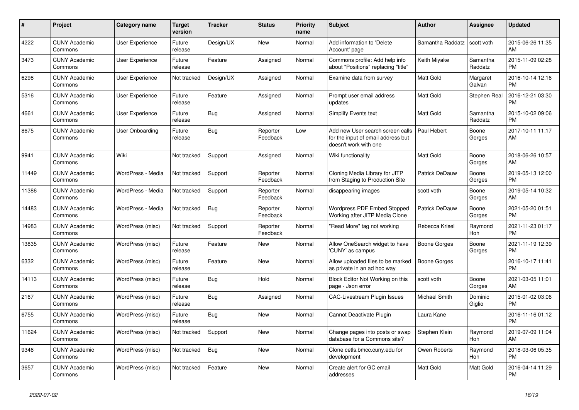| #     | Project                         | Category name          | <b>Target</b><br>version | <b>Tracker</b> | <b>Status</b>        | <b>Priority</b><br>name | <b>Subject</b>                                                                                  | <b>Author</b>    | Assignee            | <b>Updated</b>                |
|-------|---------------------------------|------------------------|--------------------------|----------------|----------------------|-------------------------|-------------------------------------------------------------------------------------------------|------------------|---------------------|-------------------------------|
| 4222  | <b>CUNY Academic</b><br>Commons | <b>User Experience</b> | Future<br>release        | Design/UX      | New                  | Normal                  | Add information to 'Delete<br>Account' page                                                     | Samantha Raddatz | scott voth          | 2015-06-26 11:35<br>AM        |
| 3473  | <b>CUNY Academic</b><br>Commons | <b>User Experience</b> | Future<br>release        | Feature        | Assigned             | Normal                  | Commons profile: Add help info<br>about "Positions" replacing "title"                           | Keith Miyake     | Samantha<br>Raddatz | 2015-11-09 02:28<br><b>PM</b> |
| 6298  | <b>CUNY Academic</b><br>Commons | User Experience        | Not tracked              | Design/UX      | Assigned             | Normal                  | Examine data from survey                                                                        | Matt Gold        | Margaret<br>Galvan  | 2016-10-14 12:16<br><b>PM</b> |
| 5316  | <b>CUNY Academic</b><br>Commons | <b>User Experience</b> | Future<br>release        | Feature        | Assigned             | Normal                  | Prompt user email address<br>updates                                                            | Matt Gold        | Stephen Real        | 2016-12-21 03:30<br><b>PM</b> |
| 4661  | <b>CUNY Academic</b><br>Commons | <b>User Experience</b> | Future<br>release        | <b>Bug</b>     | Assigned             | Normal                  | Simplify Events text                                                                            | Matt Gold        | Samantha<br>Raddatz | 2015-10-02 09:06<br><b>PM</b> |
| 8675  | <b>CUNY Academic</b><br>Commons | User Onboarding        | Future<br>release        | Bug            | Reporter<br>Feedback | Low                     | Add new User search screen calls<br>for the input of email address but<br>doesn't work with one | Paul Hebert      | Boone<br>Gorges     | 2017-10-11 11:17<br>AM        |
| 9941  | <b>CUNY Academic</b><br>Commons | Wiki                   | Not tracked              | Support        | Assigned             | Normal                  | Wiki functionality                                                                              | Matt Gold        | Boone<br>Gorges     | 2018-06-26 10:57<br>AM        |
| 11449 | <b>CUNY Academic</b><br>Commons | WordPress - Media      | Not tracked              | Support        | Reporter<br>Feedback | Normal                  | Cloning Media Library for JITP<br>from Staging to Production Site                               | Patrick DeDauw   | Boone<br>Gorges     | 2019-05-13 12:00<br><b>PM</b> |
| 11386 | <b>CUNY Academic</b><br>Commons | WordPress - Media      | Not tracked              | Support        | Reporter<br>Feedback | Normal                  | disappearing images                                                                             | scott voth       | Boone<br>Gorges     | 2019-05-14 10:32<br>AM        |
| 14483 | <b>CUNY Academic</b><br>Commons | WordPress - Media      | Not tracked              | <b>Bug</b>     | Reporter<br>Feedback | Normal                  | <b>Wordpress PDF Embed Stopped</b><br>Working after JITP Media Clone                            | Patrick DeDauw   | Boone<br>Gorges     | 2021-05-20 01:51<br><b>PM</b> |
| 14983 | <b>CUNY Academic</b><br>Commons | WordPress (misc)       | Not tracked              | Support        | Reporter<br>Feedback | Normal                  | "Read More" tag not working                                                                     | Rebecca Krisel   | Raymond<br>Hoh      | 2021-11-23 01:17<br><b>PM</b> |
| 13835 | <b>CUNY Academic</b><br>Commons | WordPress (misc)       | Future<br>release        | Feature        | New                  | Normal                  | Allow OneSearch widget to have<br>'CUNY' as campus                                              | Boone Gorges     | Boone<br>Gorges     | 2021-11-19 12:39<br><b>PM</b> |
| 6332  | <b>CUNY Academic</b><br>Commons | WordPress (misc)       | Future<br>release        | Feature        | <b>New</b>           | Normal                  | Allow uploaded files to be marked<br>as private in an ad hoc way                                | Boone Gorges     |                     | 2016-10-17 11:41<br><b>PM</b> |
| 14113 | <b>CUNY Academic</b><br>Commons | WordPress (misc)       | Future<br>release        | Bug            | Hold                 | Normal                  | Block Editor Not Working on this<br>page - Json error                                           | scott voth       | Boone<br>Gorges     | 2021-03-05 11:01<br>AM        |
| 2167  | <b>CUNY Academic</b><br>Commons | WordPress (misc)       | Future<br>release        | Bug            | Assigned             | Normal                  | <b>CAC-Livestream Plugin Issues</b>                                                             | Michael Smith    | Dominic<br>Giglio   | 2015-01-02 03:06<br><b>PM</b> |
| 6755  | <b>CUNY Academic</b><br>Commons | WordPress (misc)       | Future<br>release        | Bug            | <b>New</b>           | Normal                  | Cannot Deactivate Plugin                                                                        | Laura Kane       |                     | 2016-11-16 01:12<br><b>PM</b> |
| 11624 | <b>CUNY Academic</b><br>Commons | WordPress (misc)       | Not tracked              | Support        | New                  | Normal                  | Change pages into posts or swap<br>database for a Commons site?                                 | Stephen Klein    | Raymond<br>Hoh      | 2019-07-09 11:04<br>AM        |
| 9346  | <b>CUNY Academic</b><br>Commons | WordPress (misc)       | Not tracked              | Bug            | New                  | Normal                  | Clone cetls.bmcc.cuny.edu for<br>development                                                    | Owen Roberts     | Raymond<br>Hoh      | 2018-03-06 05:35<br><b>PM</b> |
| 3657  | <b>CUNY Academic</b><br>Commons | WordPress (misc)       | Not tracked              | Feature        | <b>New</b>           | Normal                  | Create alert for GC email<br>addresses                                                          | <b>Matt Gold</b> | Matt Gold           | 2016-04-14 11:29<br><b>PM</b> |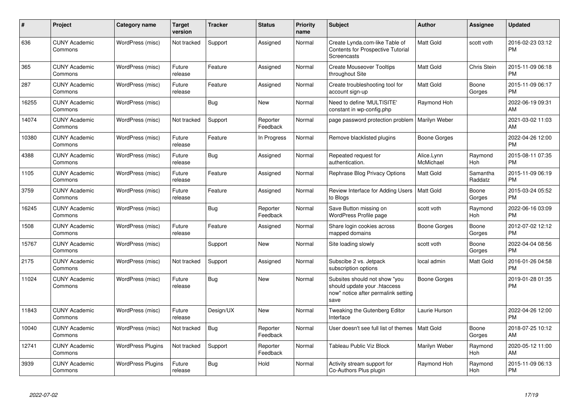| #     | Project                         | <b>Category name</b>     | <b>Target</b><br>version | <b>Tracker</b> | <b>Status</b>        | <b>Priority</b><br>name | <b>Subject</b>                                                                                               | <b>Author</b>           | <b>Assignee</b>     | <b>Updated</b>                |
|-------|---------------------------------|--------------------------|--------------------------|----------------|----------------------|-------------------------|--------------------------------------------------------------------------------------------------------------|-------------------------|---------------------|-------------------------------|
| 636   | <b>CUNY Academic</b><br>Commons | WordPress (misc)         | Not tracked              | Support        | Assigned             | Normal                  | Create Lynda.com-like Table of<br><b>Contents for Prospective Tutorial</b><br>Screencasts                    | <b>Matt Gold</b>        | scott voth          | 2016-02-23 03:12<br><b>PM</b> |
| 365   | <b>CUNY Academic</b><br>Commons | WordPress (misc)         | Future<br>release        | Feature        | Assigned             | Normal                  | <b>Create Mouseover Tooltips</b><br>throughout Site                                                          | <b>Matt Gold</b>        | Chris Stein         | 2015-11-09 06:18<br><b>PM</b> |
| 287   | <b>CUNY Academic</b><br>Commons | WordPress (misc)         | Future<br>release        | Feature        | Assigned             | Normal                  | Create troubleshooting tool for<br>account sign-up                                                           | <b>Matt Gold</b>        | Boone<br>Gorges     | 2015-11-09 06:17<br><b>PM</b> |
| 16255 | <b>CUNY Academic</b><br>Commons | WordPress (misc)         |                          | <b>Bug</b>     | New                  | Normal                  | Need to define 'MULTISITE'<br>constant in wp-config.php                                                      | Raymond Hoh             |                     | 2022-06-19 09:31<br>AM        |
| 14074 | <b>CUNY Academic</b><br>Commons | WordPress (misc)         | Not tracked              | Support        | Reporter<br>Feedback | Normal                  | page password protection problem                                                                             | Marilyn Weber           |                     | 2021-03-02 11:03<br>AM        |
| 10380 | <b>CUNY Academic</b><br>Commons | WordPress (misc)         | Future<br>release        | Feature        | In Progress          | Normal                  | Remove blacklisted plugins                                                                                   | Boone Gorges            |                     | 2022-04-26 12:00<br><b>PM</b> |
| 4388  | <b>CUNY Academic</b><br>Commons | WordPress (misc)         | Future<br>release        | <b>Bug</b>     | Assigned             | Normal                  | Repeated request for<br>authentication.                                                                      | Alice.Lynn<br>McMichael | Raymond<br>Hoh      | 2015-08-11 07:35<br><b>PM</b> |
| 1105  | <b>CUNY Academic</b><br>Commons | WordPress (misc)         | Future<br>release        | Feature        | Assigned             | Normal                  | Rephrase Blog Privacy Options                                                                                | <b>Matt Gold</b>        | Samantha<br>Raddatz | 2015-11-09 06:19<br><b>PM</b> |
| 3759  | <b>CUNY Academic</b><br>Commons | WordPress (misc)         | Future<br>release        | Feature        | Assigned             | Normal                  | Review Interface for Adding Users<br>to Blogs                                                                | <b>Matt Gold</b>        | Boone<br>Gorges     | 2015-03-24 05:52<br><b>PM</b> |
| 16245 | <b>CUNY Academic</b><br>Commons | WordPress (misc)         |                          | Bug            | Reporter<br>Feedback | Normal                  | Save Button missing on<br>WordPress Profile page                                                             | scott voth              | Raymond<br>Hoh      | 2022-06-16 03:09<br><b>PM</b> |
| 1508  | <b>CUNY Academic</b><br>Commons | WordPress (misc)         | Future<br>release        | Feature        | Assigned             | Normal                  | Share login cookies across<br>mapped domains                                                                 | Boone Gorges            | Boone<br>Gorges     | 2012-07-02 12:12<br><b>PM</b> |
| 15767 | <b>CUNY Academic</b><br>Commons | WordPress (misc)         |                          | Support        | <b>New</b>           | Normal                  | Site loading slowly                                                                                          | scott voth              | Boone<br>Gorges     | 2022-04-04 08:56<br><b>PM</b> |
| 2175  | <b>CUNY Academic</b><br>Commons | WordPress (misc)         | Not tracked              | Support        | Assigned             | Normal                  | Subscibe 2 vs. Jetpack<br>subscription options                                                               | local admin             | Matt Gold           | 2016-01-26 04:58<br><b>PM</b> |
| 11024 | <b>CUNY Academic</b><br>Commons | WordPress (misc)         | Future<br>release        | Bug            | <b>New</b>           | Normal                  | Subsites should not show "you<br>should update your .htaccess<br>now" notice after permalink setting<br>save | Boone Gorges            |                     | 2019-01-28 01:35<br><b>PM</b> |
| 11843 | <b>CUNY Academic</b><br>Commons | WordPress (misc)         | Future<br>release        | Design/UX      | <b>New</b>           | Normal                  | Tweaking the Gutenberg Editor<br>Interface                                                                   | Laurie Hurson           |                     | 2022-04-26 12:00<br><b>PM</b> |
| 10040 | <b>CUNY Academic</b><br>Commons | WordPress (misc)         | Not tracked              | <b>Bug</b>     | Reporter<br>Feedback | Normal                  | User doesn't see full list of themes                                                                         | Matt Gold               | Boone<br>Gorges     | 2018-07-25 10:12<br>AM        |
| 12741 | <b>CUNY Academic</b><br>Commons | <b>WordPress Plugins</b> | Not tracked              | Support        | Reporter<br>Feedback | Normal                  | Tableau Public Viz Block                                                                                     | Marilyn Weber           | Raymond<br>Hoh      | 2020-05-12 11:00<br>AM        |
| 3939  | <b>CUNY Academic</b><br>Commons | <b>WordPress Plugins</b> | Future<br>release        | Bug            | Hold                 | Normal                  | Activity stream support for<br>Co-Authors Plus plugin                                                        | Raymond Hoh             | Raymond<br>Hoh      | 2015-11-09 06:13<br><b>PM</b> |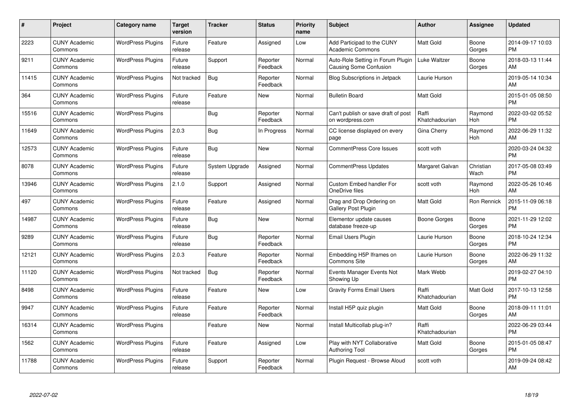| $\#$  | Project                         | <b>Category name</b>     | <b>Target</b><br>version | <b>Tracker</b> | <b>Status</b>        | Priority<br>name | <b>Subject</b>                                              | <b>Author</b>           | <b>Assignee</b>   | <b>Updated</b>                |
|-------|---------------------------------|--------------------------|--------------------------|----------------|----------------------|------------------|-------------------------------------------------------------|-------------------------|-------------------|-------------------------------|
| 2223  | <b>CUNY Academic</b><br>Commons | <b>WordPress Plugins</b> | Future<br>release        | Feature        | Assigned             | Low              | Add Participad to the CUNY<br><b>Academic Commons</b>       | <b>Matt Gold</b>        | Boone<br>Gorges   | 2014-09-17 10:03<br><b>PM</b> |
| 9211  | <b>CUNY Academic</b><br>Commons | <b>WordPress Plugins</b> | Future<br>release        | Support        | Reporter<br>Feedback | Normal           | Auto-Role Setting in Forum Plugin<br>Causing Some Confusion | Luke Waltzer            | Boone<br>Gorges   | 2018-03-13 11:44<br>AM        |
| 11415 | <b>CUNY Academic</b><br>Commons | <b>WordPress Plugins</b> | Not tracked              | Bug            | Reporter<br>Feedback | Normal           | Blog Subscriptions in Jetpack                               | Laurie Hurson           |                   | 2019-05-14 10:34<br>AM        |
| 364   | <b>CUNY Academic</b><br>Commons | <b>WordPress Plugins</b> | Future<br>release        | Feature        | <b>New</b>           | Normal           | <b>Bulletin Board</b>                                       | <b>Matt Gold</b>        |                   | 2015-01-05 08:50<br><b>PM</b> |
| 15516 | <b>CUNY Academic</b><br>Commons | <b>WordPress Plugins</b> |                          | Bug            | Reporter<br>Feedback | Normal           | Can't publish or save draft of post<br>on wordpress.com     | Raffi<br>Khatchadourian | Raymond<br>Hoh    | 2022-03-02 05:52<br><b>PM</b> |
| 11649 | <b>CUNY Academic</b><br>Commons | <b>WordPress Plugins</b> | 2.0.3                    | Bug            | In Progress          | Normal           | CC license displayed on every<br>page                       | Gina Cherry             | Raymond<br>Hoh    | 2022-06-29 11:32<br>AM        |
| 12573 | <b>CUNY Academic</b><br>Commons | <b>WordPress Plugins</b> | Future<br>release        | Bug            | New                  | Normal           | <b>CommentPress Core Issues</b>                             | scott voth              |                   | 2020-03-24 04:32<br><b>PM</b> |
| 8078  | <b>CUNY Academic</b><br>Commons | <b>WordPress Plugins</b> | Future<br>release        | System Upgrade | Assigned             | Normal           | <b>CommentPress Updates</b>                                 | Margaret Galvan         | Christian<br>Wach | 2017-05-08 03:49<br><b>PM</b> |
| 13946 | <b>CUNY Academic</b><br>Commons | <b>WordPress Plugins</b> | 2.1.0                    | Support        | Assigned             | Normal           | <b>Custom Embed handler For</b><br>OneDrive files           | scott voth              | Raymond<br>Hoh    | 2022-05-26 10:46<br>AM        |
| 497   | <b>CUNY Academic</b><br>Commons | <b>WordPress Plugins</b> | Future<br>release        | Feature        | Assigned             | Normal           | Drag and Drop Ordering on<br>Gallery Post Plugin            | <b>Matt Gold</b>        | Ron Rennick       | 2015-11-09 06:18<br><b>PM</b> |
| 14987 | <b>CUNY Academic</b><br>Commons | <b>WordPress Plugins</b> | Future<br>release        | <b>Bug</b>     | <b>New</b>           | Normal           | Elementor update causes<br>database freeze-up               | Boone Gorges            | Boone<br>Gorges   | 2021-11-29 12:02<br><b>PM</b> |
| 9289  | <b>CUNY Academic</b><br>Commons | <b>WordPress Plugins</b> | Future<br>release        | Bug            | Reporter<br>Feedback | Normal           | Email Users Plugin                                          | Laurie Hurson           | Boone<br>Gorges   | 2018-10-24 12:34<br><b>PM</b> |
| 12121 | <b>CUNY Academic</b><br>Commons | <b>WordPress Plugins</b> | 2.0.3                    | Feature        | Reporter<br>Feedback | Normal           | Embedding H5P Iframes on<br><b>Commons Site</b>             | Laurie Hurson           | Boone<br>Gorges   | 2022-06-29 11:32<br>AM        |
| 11120 | <b>CUNY Academic</b><br>Commons | <b>WordPress Plugins</b> | Not tracked              | <b>Bug</b>     | Reporter<br>Feedback | Normal           | Events Manager Events Not<br>Showing Up                     | Mark Webb               |                   | 2019-02-27 04:10<br><b>PM</b> |
| 8498  | <b>CUNY Academic</b><br>Commons | <b>WordPress Plugins</b> | Future<br>release        | Feature        | New                  | Low              | <b>Gravity Forms Email Users</b>                            | Raffi<br>Khatchadourian | Matt Gold         | 2017-10-13 12:58<br><b>PM</b> |
| 9947  | <b>CUNY Academic</b><br>Commons | <b>WordPress Plugins</b> | Future<br>release        | Feature        | Reporter<br>Feedback | Normal           | Install H5P quiz plugin                                     | Matt Gold               | Boone<br>Gorges   | 2018-09-11 11:01<br>AM        |
| 16314 | <b>CUNY Academic</b><br>Commons | <b>WordPress Plugins</b> |                          | Feature        | New                  | Normal           | Install Multicollab plug-in?                                | Raffi<br>Khatchadourian |                   | 2022-06-29 03:44<br><b>PM</b> |
| 1562  | <b>CUNY Academic</b><br>Commons | <b>WordPress Plugins</b> | Future<br>release        | Feature        | Assigned             | Low              | Play with NYT Collaborative<br>Authoring Tool               | Matt Gold               | Boone<br>Gorges   | 2015-01-05 08:47<br><b>PM</b> |
| 11788 | CUNY Academic<br>Commons        | <b>WordPress Plugins</b> | Future<br>release        | Support        | Reporter<br>Feedback | Normal           | Plugin Request - Browse Aloud                               | scott voth              |                   | 2019-09-24 08:42<br>AM        |